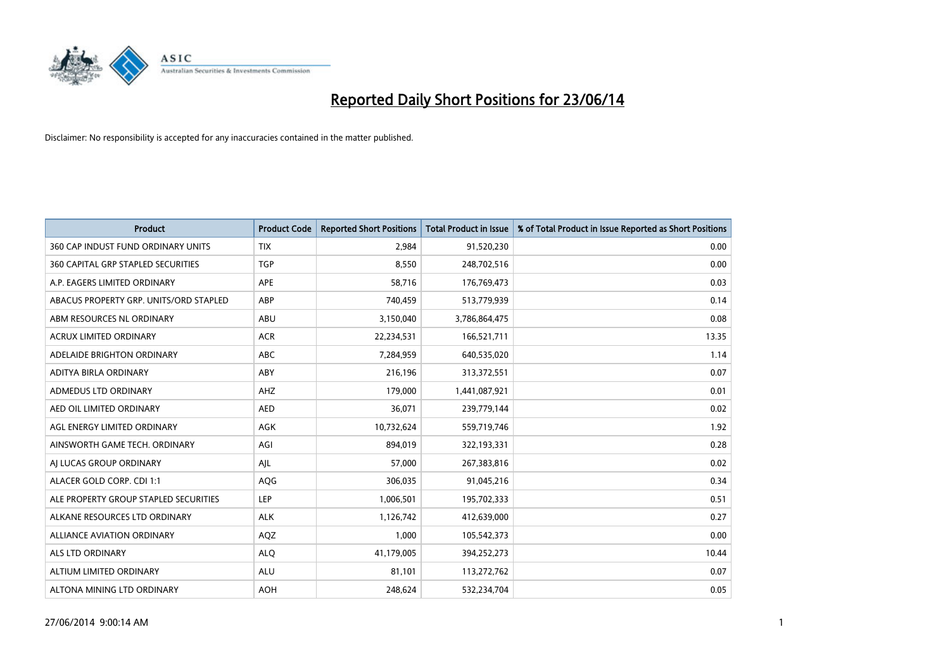

| <b>Product</b>                         | <b>Product Code</b> | <b>Reported Short Positions</b> | <b>Total Product in Issue</b> | % of Total Product in Issue Reported as Short Positions |
|----------------------------------------|---------------------|---------------------------------|-------------------------------|---------------------------------------------------------|
| 360 CAP INDUST FUND ORDINARY UNITS     | <b>TIX</b>          | 2,984                           | 91,520,230                    | 0.00                                                    |
| 360 CAPITAL GRP STAPLED SECURITIES     | <b>TGP</b>          | 8,550                           | 248,702,516                   | 0.00                                                    |
| A.P. EAGERS LIMITED ORDINARY           | APE                 | 58,716                          | 176,769,473                   | 0.03                                                    |
| ABACUS PROPERTY GRP. UNITS/ORD STAPLED | ABP                 | 740,459                         | 513,779,939                   | 0.14                                                    |
| ABM RESOURCES NL ORDINARY              | ABU                 | 3,150,040                       | 3,786,864,475                 | 0.08                                                    |
| <b>ACRUX LIMITED ORDINARY</b>          | <b>ACR</b>          | 22,234,531                      | 166,521,711                   | 13.35                                                   |
| ADELAIDE BRIGHTON ORDINARY             | <b>ABC</b>          | 7,284,959                       | 640,535,020                   | 1.14                                                    |
| ADITYA BIRLA ORDINARY                  | ABY                 | 216,196                         | 313,372,551                   | 0.07                                                    |
| ADMEDUS LTD ORDINARY                   | AHZ                 | 179,000                         | 1,441,087,921                 | 0.01                                                    |
| AED OIL LIMITED ORDINARY               | <b>AED</b>          | 36,071                          | 239,779,144                   | 0.02                                                    |
| AGL ENERGY LIMITED ORDINARY            | AGK                 | 10,732,624                      | 559,719,746                   | 1.92                                                    |
| AINSWORTH GAME TECH. ORDINARY          | AGI                 | 894,019                         | 322,193,331                   | 0.28                                                    |
| AI LUCAS GROUP ORDINARY                | AJL                 | 57,000                          | 267,383,816                   | 0.02                                                    |
| ALACER GOLD CORP. CDI 1:1              | AQG                 | 306,035                         | 91,045,216                    | 0.34                                                    |
| ALE PROPERTY GROUP STAPLED SECURITIES  | LEP                 | 1,006,501                       | 195,702,333                   | 0.51                                                    |
| ALKANE RESOURCES LTD ORDINARY          | <b>ALK</b>          | 1,126,742                       | 412,639,000                   | 0.27                                                    |
| ALLIANCE AVIATION ORDINARY             | AQZ                 | 1,000                           | 105,542,373                   | 0.00                                                    |
| ALS LTD ORDINARY                       | <b>ALQ</b>          | 41,179,005                      | 394,252,273                   | 10.44                                                   |
| ALTIUM LIMITED ORDINARY                | <b>ALU</b>          | 81,101                          | 113,272,762                   | 0.07                                                    |
| ALTONA MINING LTD ORDINARY             | <b>AOH</b>          | 248,624                         | 532,234,704                   | 0.05                                                    |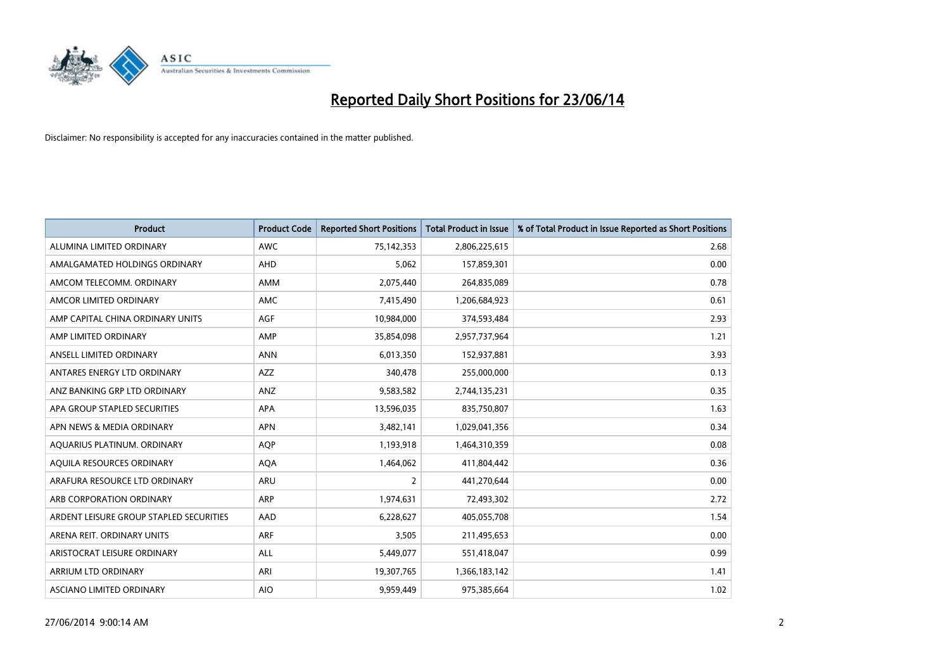

| <b>Product</b>                          | <b>Product Code</b> | <b>Reported Short Positions</b> | <b>Total Product in Issue</b> | % of Total Product in Issue Reported as Short Positions |
|-----------------------------------------|---------------------|---------------------------------|-------------------------------|---------------------------------------------------------|
| ALUMINA LIMITED ORDINARY                | <b>AWC</b>          | 75,142,353                      | 2,806,225,615                 | 2.68                                                    |
| AMALGAMATED HOLDINGS ORDINARY           | AHD                 | 5,062                           | 157,859,301                   | 0.00                                                    |
| AMCOM TELECOMM. ORDINARY                | <b>AMM</b>          | 2,075,440                       | 264,835,089                   | 0.78                                                    |
| AMCOR LIMITED ORDINARY                  | AMC                 | 7,415,490                       | 1,206,684,923                 | 0.61                                                    |
| AMP CAPITAL CHINA ORDINARY UNITS        | <b>AGF</b>          | 10,984,000                      | 374,593,484                   | 2.93                                                    |
| AMP LIMITED ORDINARY                    | AMP                 | 35,854,098                      | 2,957,737,964                 | 1.21                                                    |
| ANSELL LIMITED ORDINARY                 | <b>ANN</b>          | 6,013,350                       | 152,937,881                   | 3.93                                                    |
| ANTARES ENERGY LTD ORDINARY             | <b>AZZ</b>          | 340,478                         | 255,000,000                   | 0.13                                                    |
| ANZ BANKING GRP LTD ORDINARY            | ANZ                 | 9,583,582                       | 2,744,135,231                 | 0.35                                                    |
| APA GROUP STAPLED SECURITIES            | <b>APA</b>          | 13,596,035                      | 835,750,807                   | 1.63                                                    |
| APN NEWS & MEDIA ORDINARY               | <b>APN</b>          | 3,482,141                       | 1,029,041,356                 | 0.34                                                    |
| AQUARIUS PLATINUM. ORDINARY             | <b>AQP</b>          | 1,193,918                       | 1,464,310,359                 | 0.08                                                    |
| AQUILA RESOURCES ORDINARY               | <b>AQA</b>          | 1,464,062                       | 411,804,442                   | 0.36                                                    |
| ARAFURA RESOURCE LTD ORDINARY           | ARU                 | $\overline{2}$                  | 441,270,644                   | 0.00                                                    |
| ARB CORPORATION ORDINARY                | <b>ARP</b>          | 1,974,631                       | 72,493,302                    | 2.72                                                    |
| ARDENT LEISURE GROUP STAPLED SECURITIES | AAD                 | 6,228,627                       | 405,055,708                   | 1.54                                                    |
| ARENA REIT. ORDINARY UNITS              | ARF                 | 3,505                           | 211,495,653                   | 0.00                                                    |
| ARISTOCRAT LEISURE ORDINARY             | <b>ALL</b>          | 5,449,077                       | 551,418,047                   | 0.99                                                    |
| ARRIUM LTD ORDINARY                     | ARI                 | 19,307,765                      | 1,366,183,142                 | 1.41                                                    |
| ASCIANO LIMITED ORDINARY                | <b>AIO</b>          | 9,959,449                       | 975,385,664                   | 1.02                                                    |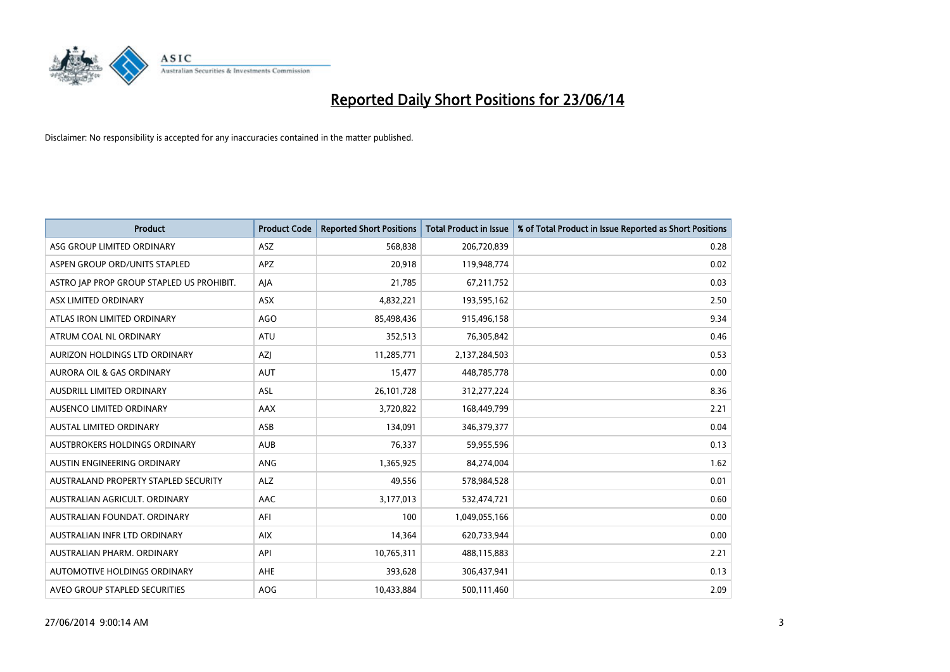

| <b>Product</b>                            | <b>Product Code</b> | <b>Reported Short Positions</b> | <b>Total Product in Issue</b> | % of Total Product in Issue Reported as Short Positions |
|-------------------------------------------|---------------------|---------------------------------|-------------------------------|---------------------------------------------------------|
| ASG GROUP LIMITED ORDINARY                | ASZ                 | 568,838                         | 206,720,839                   | 0.28                                                    |
| ASPEN GROUP ORD/UNITS STAPLED             | APZ                 | 20,918                          | 119,948,774                   | 0.02                                                    |
| ASTRO JAP PROP GROUP STAPLED US PROHIBIT. | AJA                 | 21,785                          | 67,211,752                    | 0.03                                                    |
| ASX LIMITED ORDINARY                      | ASX                 | 4,832,221                       | 193,595,162                   | 2.50                                                    |
| ATLAS IRON LIMITED ORDINARY               | AGO                 | 85,498,436                      | 915,496,158                   | 9.34                                                    |
| ATRUM COAL NL ORDINARY                    | ATU                 | 352,513                         | 76,305,842                    | 0.46                                                    |
| AURIZON HOLDINGS LTD ORDINARY             | AZJ                 | 11,285,771                      | 2,137,284,503                 | 0.53                                                    |
| AURORA OIL & GAS ORDINARY                 | <b>AUT</b>          | 15,477                          | 448,785,778                   | 0.00                                                    |
| AUSDRILL LIMITED ORDINARY                 | <b>ASL</b>          | 26,101,728                      | 312,277,224                   | 8.36                                                    |
| AUSENCO LIMITED ORDINARY                  | AAX                 | 3,720,822                       | 168,449,799                   | 2.21                                                    |
| AUSTAL LIMITED ORDINARY                   | ASB                 | 134,091                         | 346,379,377                   | 0.04                                                    |
| AUSTBROKERS HOLDINGS ORDINARY             | <b>AUB</b>          | 76,337                          | 59,955,596                    | 0.13                                                    |
| AUSTIN ENGINEERING ORDINARY               | ANG                 | 1,365,925                       | 84,274,004                    | 1.62                                                    |
| AUSTRALAND PROPERTY STAPLED SECURITY      | <b>ALZ</b>          | 49,556                          | 578,984,528                   | 0.01                                                    |
| AUSTRALIAN AGRICULT, ORDINARY             | AAC                 | 3,177,013                       | 532,474,721                   | 0.60                                                    |
| AUSTRALIAN FOUNDAT. ORDINARY              | AFI                 | 100                             | 1,049,055,166                 | 0.00                                                    |
| AUSTRALIAN INFR LTD ORDINARY              | <b>AIX</b>          | 14,364                          | 620,733,944                   | 0.00                                                    |
| AUSTRALIAN PHARM, ORDINARY                | API                 | 10,765,311                      | 488,115,883                   | 2.21                                                    |
| AUTOMOTIVE HOLDINGS ORDINARY              | AHE                 | 393,628                         | 306,437,941                   | 0.13                                                    |
| AVEO GROUP STAPLED SECURITIES             | <b>AOG</b>          | 10,433,884                      | 500,111,460                   | 2.09                                                    |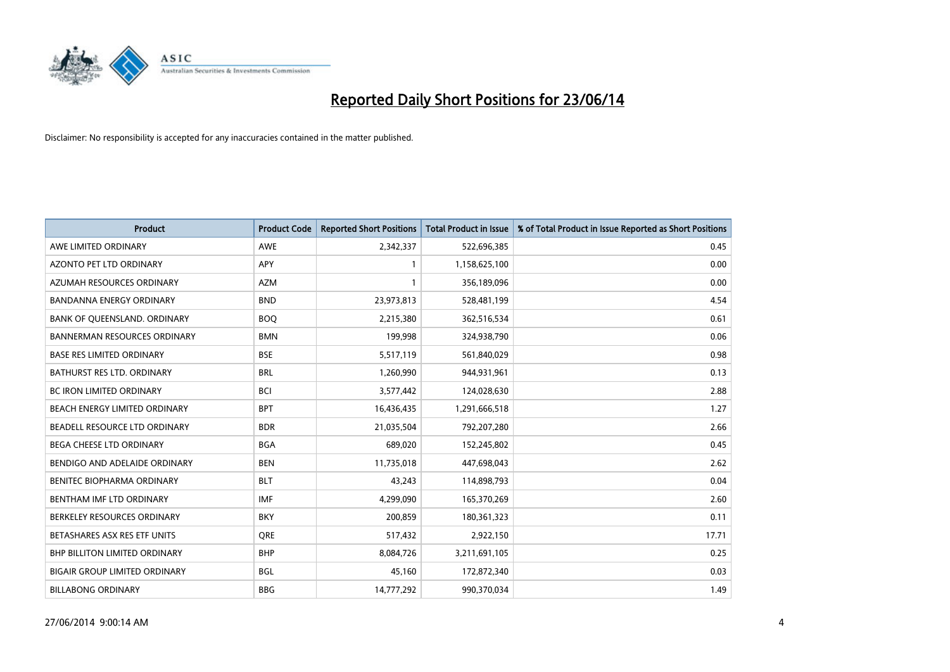

| <b>Product</b>                       | <b>Product Code</b> | <b>Reported Short Positions</b> | <b>Total Product in Issue</b> | % of Total Product in Issue Reported as Short Positions |
|--------------------------------------|---------------------|---------------------------------|-------------------------------|---------------------------------------------------------|
| AWE LIMITED ORDINARY                 | <b>AWE</b>          | 2,342,337                       | 522,696,385                   | 0.45                                                    |
| AZONTO PET LTD ORDINARY              | <b>APY</b>          | 1                               | 1,158,625,100                 | 0.00                                                    |
| AZUMAH RESOURCES ORDINARY            | <b>AZM</b>          | $\mathbf{1}$                    | 356,189,096                   | 0.00                                                    |
| BANDANNA ENERGY ORDINARY             | <b>BND</b>          | 23,973,813                      | 528,481,199                   | 4.54                                                    |
| BANK OF QUEENSLAND. ORDINARY         | <b>BOQ</b>          | 2,215,380                       | 362,516,534                   | 0.61                                                    |
| <b>BANNERMAN RESOURCES ORDINARY</b>  | <b>BMN</b>          | 199,998                         | 324,938,790                   | 0.06                                                    |
| <b>BASE RES LIMITED ORDINARY</b>     | <b>BSE</b>          | 5,517,119                       | 561,840,029                   | 0.98                                                    |
| BATHURST RES LTD. ORDINARY           | <b>BRL</b>          | 1,260,990                       | 944,931,961                   | 0.13                                                    |
| BC IRON LIMITED ORDINARY             | <b>BCI</b>          | 3,577,442                       | 124,028,630                   | 2.88                                                    |
| BEACH ENERGY LIMITED ORDINARY        | <b>BPT</b>          | 16,436,435                      | 1,291,666,518                 | 1.27                                                    |
| BEADELL RESOURCE LTD ORDINARY        | <b>BDR</b>          | 21,035,504                      | 792,207,280                   | 2.66                                                    |
| <b>BEGA CHEESE LTD ORDINARY</b>      | <b>BGA</b>          | 689,020                         | 152,245,802                   | 0.45                                                    |
| BENDIGO AND ADELAIDE ORDINARY        | <b>BEN</b>          | 11,735,018                      | 447,698,043                   | 2.62                                                    |
| BENITEC BIOPHARMA ORDINARY           | <b>BLT</b>          | 43,243                          | 114,898,793                   | 0.04                                                    |
| BENTHAM IMF LTD ORDINARY             | <b>IMF</b>          | 4,299,090                       | 165,370,269                   | 2.60                                                    |
| BERKELEY RESOURCES ORDINARY          | <b>BKY</b>          | 200,859                         | 180,361,323                   | 0.11                                                    |
| BETASHARES ASX RES ETF UNITS         | <b>ORE</b>          | 517,432                         | 2,922,150                     | 17.71                                                   |
| <b>BHP BILLITON LIMITED ORDINARY</b> | <b>BHP</b>          | 8,084,726                       | 3,211,691,105                 | 0.25                                                    |
| <b>BIGAIR GROUP LIMITED ORDINARY</b> | <b>BGL</b>          | 45,160                          | 172,872,340                   | 0.03                                                    |
| <b>BILLABONG ORDINARY</b>            | <b>BBG</b>          | 14,777,292                      | 990,370,034                   | 1.49                                                    |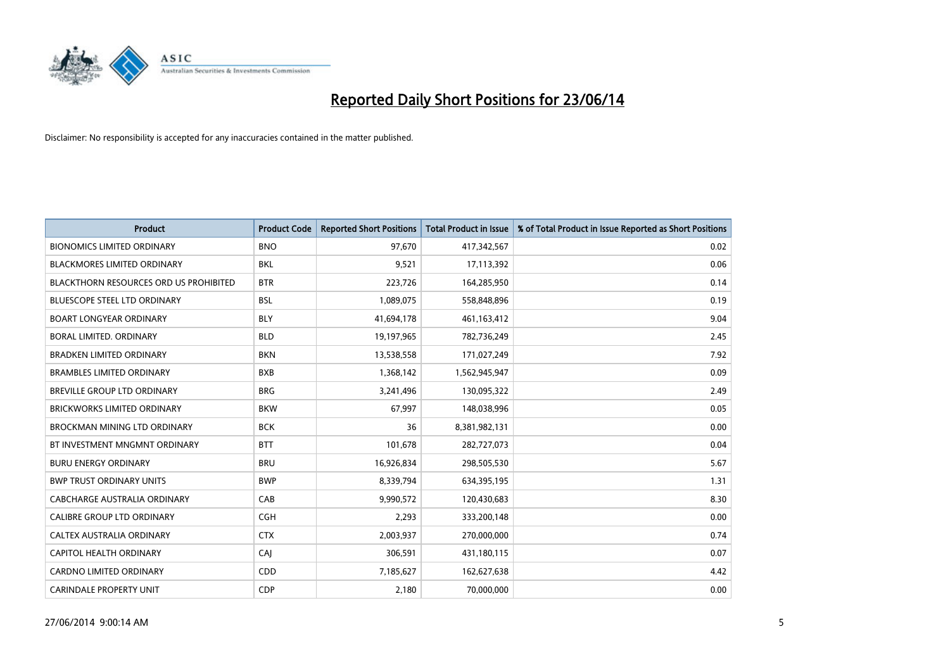

| <b>Product</b>                         | <b>Product Code</b> | <b>Reported Short Positions</b> | <b>Total Product in Issue</b> | % of Total Product in Issue Reported as Short Positions |
|----------------------------------------|---------------------|---------------------------------|-------------------------------|---------------------------------------------------------|
| <b>BIONOMICS LIMITED ORDINARY</b>      | <b>BNO</b>          | 97,670                          | 417,342,567                   | 0.02                                                    |
| <b>BLACKMORES LIMITED ORDINARY</b>     | <b>BKL</b>          | 9,521                           | 17,113,392                    | 0.06                                                    |
| BLACKTHORN RESOURCES ORD US PROHIBITED | <b>BTR</b>          | 223,726                         | 164,285,950                   | 0.14                                                    |
| <b>BLUESCOPE STEEL LTD ORDINARY</b>    | <b>BSL</b>          | 1,089,075                       | 558,848,896                   | 0.19                                                    |
| <b>BOART LONGYEAR ORDINARY</b>         | <b>BLY</b>          | 41,694,178                      | 461,163,412                   | 9.04                                                    |
| BORAL LIMITED, ORDINARY                | <b>BLD</b>          | 19,197,965                      | 782,736,249                   | 2.45                                                    |
| <b>BRADKEN LIMITED ORDINARY</b>        | <b>BKN</b>          | 13,538,558                      | 171,027,249                   | 7.92                                                    |
| <b>BRAMBLES LIMITED ORDINARY</b>       | <b>BXB</b>          | 1,368,142                       | 1,562,945,947                 | 0.09                                                    |
| <b>BREVILLE GROUP LTD ORDINARY</b>     | <b>BRG</b>          | 3,241,496                       | 130,095,322                   | 2.49                                                    |
| <b>BRICKWORKS LIMITED ORDINARY</b>     | <b>BKW</b>          | 67,997                          | 148,038,996                   | 0.05                                                    |
| <b>BROCKMAN MINING LTD ORDINARY</b>    | <b>BCK</b>          | 36                              | 8,381,982,131                 | 0.00                                                    |
| BT INVESTMENT MNGMNT ORDINARY          | <b>BTT</b>          | 101,678                         | 282,727,073                   | 0.04                                                    |
| <b>BURU ENERGY ORDINARY</b>            | <b>BRU</b>          | 16,926,834                      | 298,505,530                   | 5.67                                                    |
| <b>BWP TRUST ORDINARY UNITS</b>        | <b>BWP</b>          | 8,339,794                       | 634,395,195                   | 1.31                                                    |
| CABCHARGE AUSTRALIA ORDINARY           | CAB                 | 9,990,572                       | 120,430,683                   | 8.30                                                    |
| <b>CALIBRE GROUP LTD ORDINARY</b>      | <b>CGH</b>          | 2,293                           | 333,200,148                   | 0.00                                                    |
| CALTEX AUSTRALIA ORDINARY              | <b>CTX</b>          | 2,003,937                       | 270,000,000                   | 0.74                                                    |
| CAPITOL HEALTH ORDINARY                | CAJ                 | 306,591                         | 431,180,115                   | 0.07                                                    |
| <b>CARDNO LIMITED ORDINARY</b>         | CDD                 | 7,185,627                       | 162,627,638                   | 4.42                                                    |
| <b>CARINDALE PROPERTY UNIT</b>         | <b>CDP</b>          | 2,180                           | 70,000,000                    | 0.00                                                    |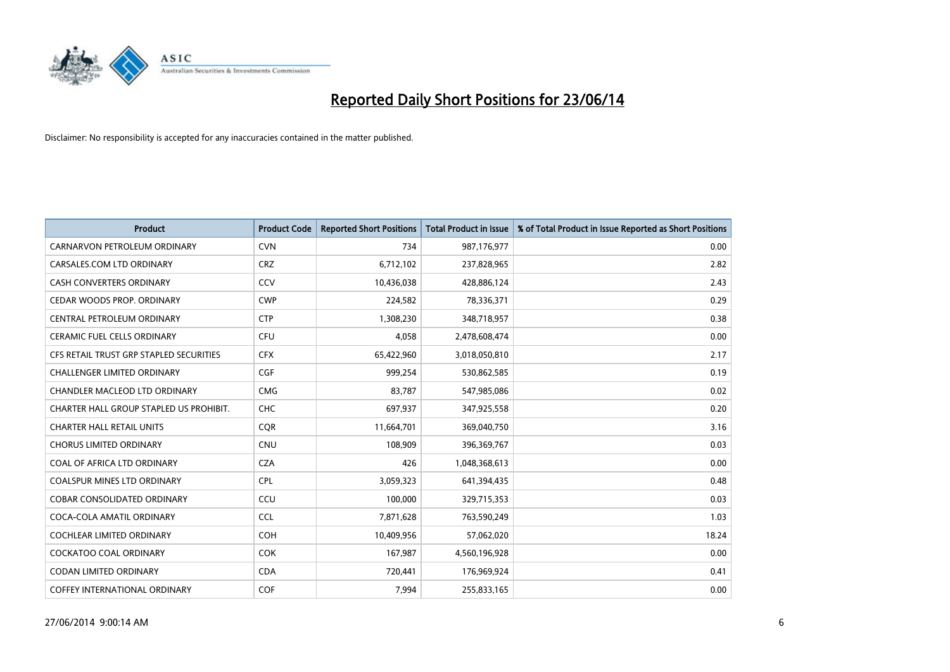

| <b>Product</b>                          | <b>Product Code</b> | <b>Reported Short Positions</b> | <b>Total Product in Issue</b> | % of Total Product in Issue Reported as Short Positions |
|-----------------------------------------|---------------------|---------------------------------|-------------------------------|---------------------------------------------------------|
| CARNARVON PETROLEUM ORDINARY            | <b>CVN</b>          | 734                             | 987,176,977                   | 0.00                                                    |
| CARSALES.COM LTD ORDINARY               | <b>CRZ</b>          | 6,712,102                       | 237,828,965                   | 2.82                                                    |
| CASH CONVERTERS ORDINARY                | CCV                 | 10,436,038                      | 428,886,124                   | 2.43                                                    |
| CEDAR WOODS PROP. ORDINARY              | <b>CWP</b>          | 224,582                         | 78,336,371                    | 0.29                                                    |
| CENTRAL PETROLEUM ORDINARY              | <b>CTP</b>          | 1,308,230                       | 348,718,957                   | 0.38                                                    |
| <b>CERAMIC FUEL CELLS ORDINARY</b>      | <b>CFU</b>          | 4,058                           | 2,478,608,474                 | 0.00                                                    |
| CFS RETAIL TRUST GRP STAPLED SECURITIES | <b>CFX</b>          | 65,422,960                      | 3,018,050,810                 | 2.17                                                    |
| CHALLENGER LIMITED ORDINARY             | <b>CGF</b>          | 999,254                         | 530,862,585                   | 0.19                                                    |
| <b>CHANDLER MACLEOD LTD ORDINARY</b>    | <b>CMG</b>          | 83,787                          | 547,985,086                   | 0.02                                                    |
| CHARTER HALL GROUP STAPLED US PROHIBIT. | <b>CHC</b>          | 697,937                         | 347,925,558                   | 0.20                                                    |
| <b>CHARTER HALL RETAIL UNITS</b>        | <b>CQR</b>          | 11,664,701                      | 369,040,750                   | 3.16                                                    |
| <b>CHORUS LIMITED ORDINARY</b>          | <b>CNU</b>          | 108,909                         | 396,369,767                   | 0.03                                                    |
| COAL OF AFRICA LTD ORDINARY             | <b>CZA</b>          | 426                             | 1,048,368,613                 | 0.00                                                    |
| <b>COALSPUR MINES LTD ORDINARY</b>      | <b>CPL</b>          | 3,059,323                       | 641,394,435                   | 0.48                                                    |
| <b>COBAR CONSOLIDATED ORDINARY</b>      | CCU                 | 100,000                         | 329,715,353                   | 0.03                                                    |
| COCA-COLA AMATIL ORDINARY               | <b>CCL</b>          | 7,871,628                       | 763,590,249                   | 1.03                                                    |
| <b>COCHLEAR LIMITED ORDINARY</b>        | <b>COH</b>          | 10,409,956                      | 57,062,020                    | 18.24                                                   |
| <b>COCKATOO COAL ORDINARY</b>           | COK                 | 167,987                         | 4,560,196,928                 | 0.00                                                    |
| <b>CODAN LIMITED ORDINARY</b>           | <b>CDA</b>          | 720,441                         | 176,969,924                   | 0.41                                                    |
| <b>COFFEY INTERNATIONAL ORDINARY</b>    | <b>COF</b>          | 7,994                           | 255,833,165                   | 0.00                                                    |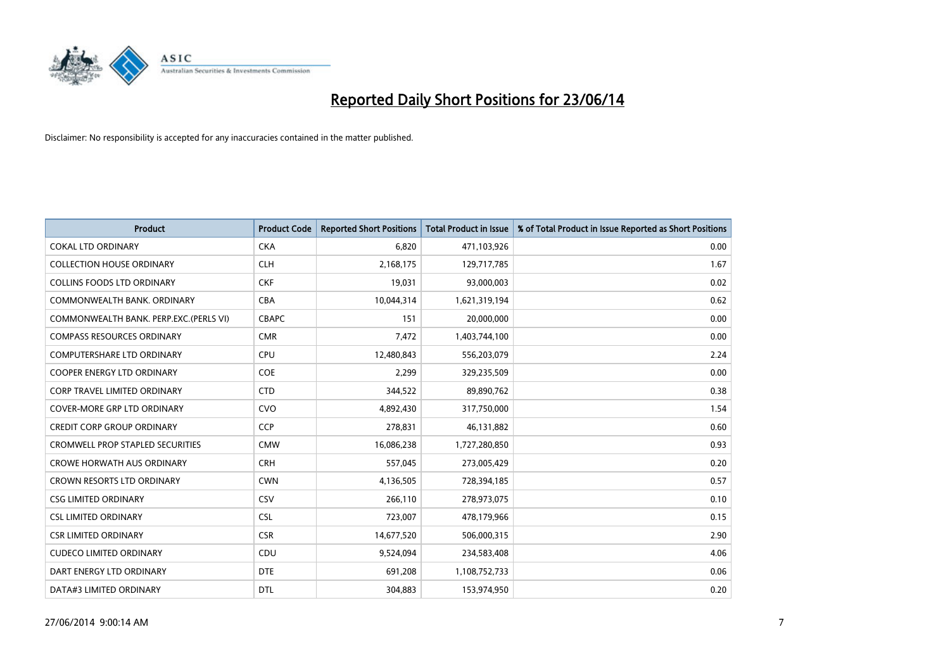

| <b>Product</b>                          | <b>Product Code</b> | <b>Reported Short Positions</b> | <b>Total Product in Issue</b> | % of Total Product in Issue Reported as Short Positions |
|-----------------------------------------|---------------------|---------------------------------|-------------------------------|---------------------------------------------------------|
| <b>COKAL LTD ORDINARY</b>               | <b>CKA</b>          | 6,820                           | 471,103,926                   | 0.00                                                    |
| <b>COLLECTION HOUSE ORDINARY</b>        | <b>CLH</b>          | 2,168,175                       | 129,717,785                   | 1.67                                                    |
| <b>COLLINS FOODS LTD ORDINARY</b>       | <b>CKF</b>          | 19,031                          | 93,000,003                    | 0.02                                                    |
| COMMONWEALTH BANK, ORDINARY             | <b>CBA</b>          | 10,044,314                      | 1,621,319,194                 | 0.62                                                    |
| COMMONWEALTH BANK, PERP.EXC. (PERLS VI) | <b>CBAPC</b>        | 151                             | 20,000,000                    | 0.00                                                    |
| <b>COMPASS RESOURCES ORDINARY</b>       | <b>CMR</b>          | 7,472                           | 1,403,744,100                 | 0.00                                                    |
| <b>COMPUTERSHARE LTD ORDINARY</b>       | <b>CPU</b>          | 12,480,843                      | 556,203,079                   | 2.24                                                    |
| <b>COOPER ENERGY LTD ORDINARY</b>       | <b>COE</b>          | 2,299                           | 329,235,509                   | 0.00                                                    |
| <b>CORP TRAVEL LIMITED ORDINARY</b>     | <b>CTD</b>          | 344,522                         | 89,890,762                    | 0.38                                                    |
| <b>COVER-MORE GRP LTD ORDINARY</b>      | <b>CVO</b>          | 4,892,430                       | 317,750,000                   | 1.54                                                    |
| <b>CREDIT CORP GROUP ORDINARY</b>       | <b>CCP</b>          | 278,831                         | 46,131,882                    | 0.60                                                    |
| <b>CROMWELL PROP STAPLED SECURITIES</b> | <b>CMW</b>          | 16,086,238                      | 1,727,280,850                 | 0.93                                                    |
| <b>CROWE HORWATH AUS ORDINARY</b>       | <b>CRH</b>          | 557,045                         | 273,005,429                   | 0.20                                                    |
| <b>CROWN RESORTS LTD ORDINARY</b>       | <b>CWN</b>          | 4,136,505                       | 728,394,185                   | 0.57                                                    |
| <b>CSG LIMITED ORDINARY</b>             | CSV                 | 266,110                         | 278,973,075                   | 0.10                                                    |
| <b>CSL LIMITED ORDINARY</b>             | <b>CSL</b>          | 723,007                         | 478,179,966                   | 0.15                                                    |
| <b>CSR LIMITED ORDINARY</b>             | <b>CSR</b>          | 14,677,520                      | 506,000,315                   | 2.90                                                    |
| <b>CUDECO LIMITED ORDINARY</b>          | CDU                 | 9,524,094                       | 234,583,408                   | 4.06                                                    |
| DART ENERGY LTD ORDINARY                | <b>DTE</b>          | 691,208                         | 1,108,752,733                 | 0.06                                                    |
| DATA#3 LIMITED ORDINARY                 | <b>DTL</b>          | 304,883                         | 153,974,950                   | 0.20                                                    |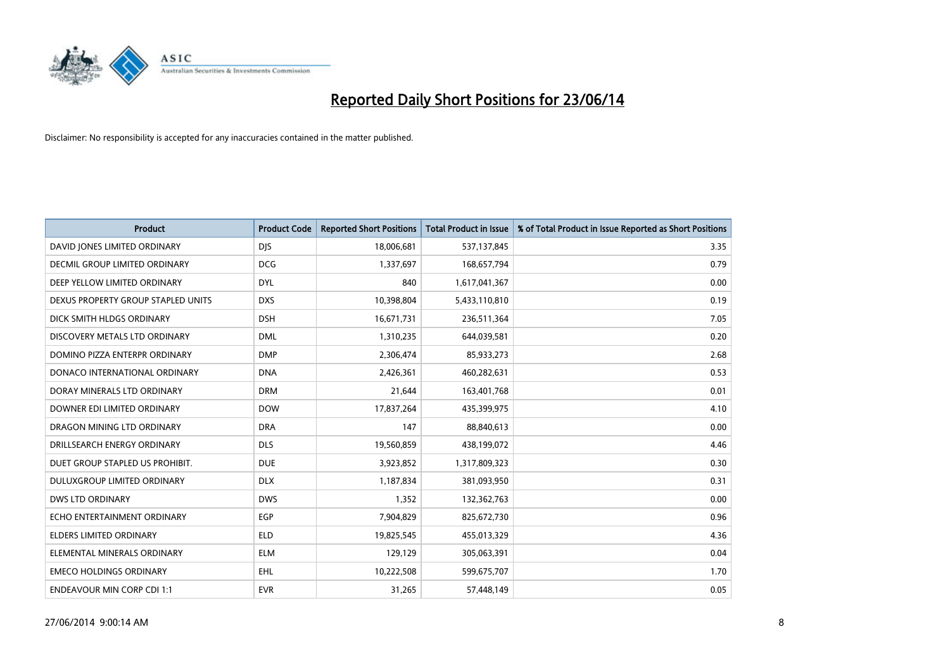

| <b>Product</b>                     | <b>Product Code</b> | <b>Reported Short Positions</b> | <b>Total Product in Issue</b> | % of Total Product in Issue Reported as Short Positions |
|------------------------------------|---------------------|---------------------------------|-------------------------------|---------------------------------------------------------|
| DAVID JONES LIMITED ORDINARY       | <b>DJS</b>          | 18,006,681                      | 537,137,845                   | 3.35                                                    |
| DECMIL GROUP LIMITED ORDINARY      | <b>DCG</b>          | 1,337,697                       | 168,657,794                   | 0.79                                                    |
| DEEP YELLOW LIMITED ORDINARY       | <b>DYL</b>          | 840                             | 1,617,041,367                 | 0.00                                                    |
| DEXUS PROPERTY GROUP STAPLED UNITS | <b>DXS</b>          | 10,398,804                      | 5,433,110,810                 | 0.19                                                    |
| DICK SMITH HLDGS ORDINARY          | <b>DSH</b>          | 16,671,731                      | 236,511,364                   | 7.05                                                    |
| DISCOVERY METALS LTD ORDINARY      | <b>DML</b>          | 1,310,235                       | 644,039,581                   | 0.20                                                    |
| DOMINO PIZZA ENTERPR ORDINARY      | <b>DMP</b>          | 2,306,474                       | 85,933,273                    | 2.68                                                    |
| DONACO INTERNATIONAL ORDINARY      | <b>DNA</b>          | 2,426,361                       | 460,282,631                   | 0.53                                                    |
| DORAY MINERALS LTD ORDINARY        | <b>DRM</b>          | 21,644                          | 163,401,768                   | 0.01                                                    |
| DOWNER EDI LIMITED ORDINARY        | <b>DOW</b>          | 17,837,264                      | 435,399,975                   | 4.10                                                    |
| DRAGON MINING LTD ORDINARY         | <b>DRA</b>          | 147                             | 88,840,613                    | 0.00                                                    |
| DRILLSEARCH ENERGY ORDINARY        | <b>DLS</b>          | 19,560,859                      | 438,199,072                   | 4.46                                                    |
| DUET GROUP STAPLED US PROHIBIT.    | <b>DUE</b>          | 3,923,852                       | 1,317,809,323                 | 0.30                                                    |
| DULUXGROUP LIMITED ORDINARY        | <b>DLX</b>          | 1,187,834                       | 381,093,950                   | 0.31                                                    |
| <b>DWS LTD ORDINARY</b>            | <b>DWS</b>          | 1,352                           | 132,362,763                   | 0.00                                                    |
| ECHO ENTERTAINMENT ORDINARY        | <b>EGP</b>          | 7,904,829                       | 825,672,730                   | 0.96                                                    |
| ELDERS LIMITED ORDINARY            | <b>ELD</b>          | 19,825,545                      | 455,013,329                   | 4.36                                                    |
| ELEMENTAL MINERALS ORDINARY        | <b>ELM</b>          | 129,129                         | 305,063,391                   | 0.04                                                    |
| <b>EMECO HOLDINGS ORDINARY</b>     | <b>EHL</b>          | 10,222,508                      | 599,675,707                   | 1.70                                                    |
| <b>ENDEAVOUR MIN CORP CDI 1:1</b>  | <b>EVR</b>          | 31,265                          | 57,448,149                    | 0.05                                                    |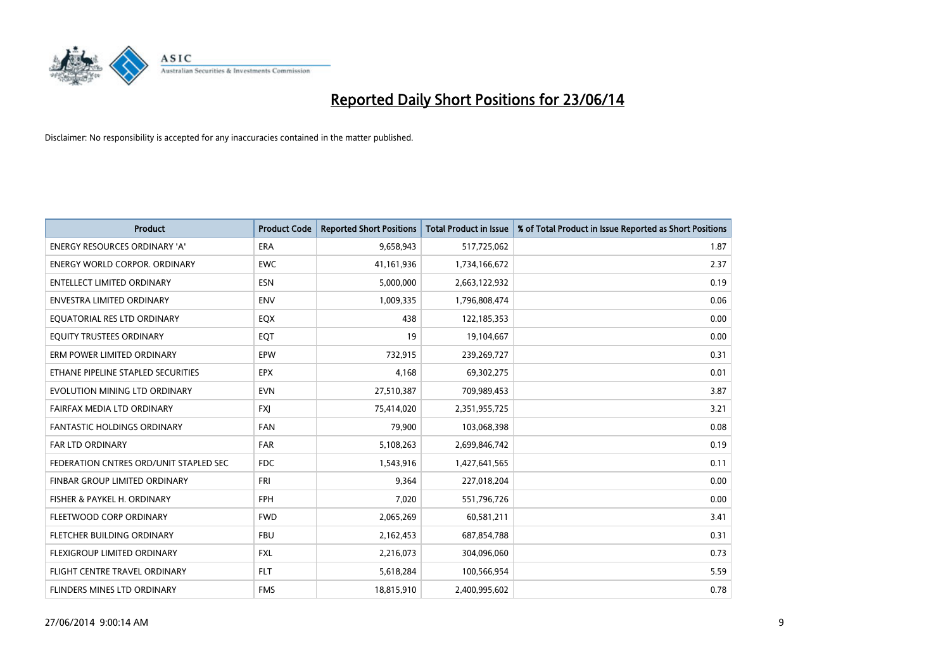

| <b>Product</b>                         | <b>Product Code</b> | <b>Reported Short Positions</b> | <b>Total Product in Issue</b> | % of Total Product in Issue Reported as Short Positions |
|----------------------------------------|---------------------|---------------------------------|-------------------------------|---------------------------------------------------------|
| <b>ENERGY RESOURCES ORDINARY 'A'</b>   | <b>ERA</b>          | 9,658,943                       | 517,725,062                   | 1.87                                                    |
| ENERGY WORLD CORPOR. ORDINARY          | <b>EWC</b>          | 41,161,936                      | 1,734,166,672                 | 2.37                                                    |
| <b>ENTELLECT LIMITED ORDINARY</b>      | <b>ESN</b>          | 5,000,000                       | 2,663,122,932                 | 0.19                                                    |
| <b>ENVESTRA LIMITED ORDINARY</b>       | <b>ENV</b>          | 1,009,335                       | 1,796,808,474                 | 0.06                                                    |
| EQUATORIAL RES LTD ORDINARY            | EQX                 | 438                             | 122,185,353                   | 0.00                                                    |
| EQUITY TRUSTEES ORDINARY               | EQT                 | 19                              | 19,104,667                    | 0.00                                                    |
| ERM POWER LIMITED ORDINARY             | EPW                 | 732,915                         | 239,269,727                   | 0.31                                                    |
| ETHANE PIPELINE STAPLED SECURITIES     | <b>EPX</b>          | 4,168                           | 69,302,275                    | 0.01                                                    |
| EVOLUTION MINING LTD ORDINARY          | <b>EVN</b>          | 27,510,387                      | 709,989,453                   | 3.87                                                    |
| FAIRFAX MEDIA LTD ORDINARY             | <b>FXJ</b>          | 75,414,020                      | 2,351,955,725                 | 3.21                                                    |
| FANTASTIC HOLDINGS ORDINARY            | <b>FAN</b>          | 79,900                          | 103,068,398                   | 0.08                                                    |
| <b>FAR LTD ORDINARY</b>                | FAR                 | 5,108,263                       | 2,699,846,742                 | 0.19                                                    |
| FEDERATION CNTRES ORD/UNIT STAPLED SEC | <b>FDC</b>          | 1,543,916                       | 1,427,641,565                 | 0.11                                                    |
| FINBAR GROUP LIMITED ORDINARY          | <b>FRI</b>          | 9,364                           | 227,018,204                   | 0.00                                                    |
| FISHER & PAYKEL H. ORDINARY            | <b>FPH</b>          | 7,020                           | 551,796,726                   | 0.00                                                    |
| FLEETWOOD CORP ORDINARY                | <b>FWD</b>          | 2,065,269                       | 60,581,211                    | 3.41                                                    |
| FLETCHER BUILDING ORDINARY             | <b>FBU</b>          | 2,162,453                       | 687,854,788                   | 0.31                                                    |
| FLEXIGROUP LIMITED ORDINARY            | FXL                 | 2,216,073                       | 304,096,060                   | 0.73                                                    |
| FLIGHT CENTRE TRAVEL ORDINARY          | <b>FLT</b>          | 5,618,284                       | 100,566,954                   | 5.59                                                    |
| FLINDERS MINES LTD ORDINARY            | <b>FMS</b>          | 18,815,910                      | 2,400,995,602                 | 0.78                                                    |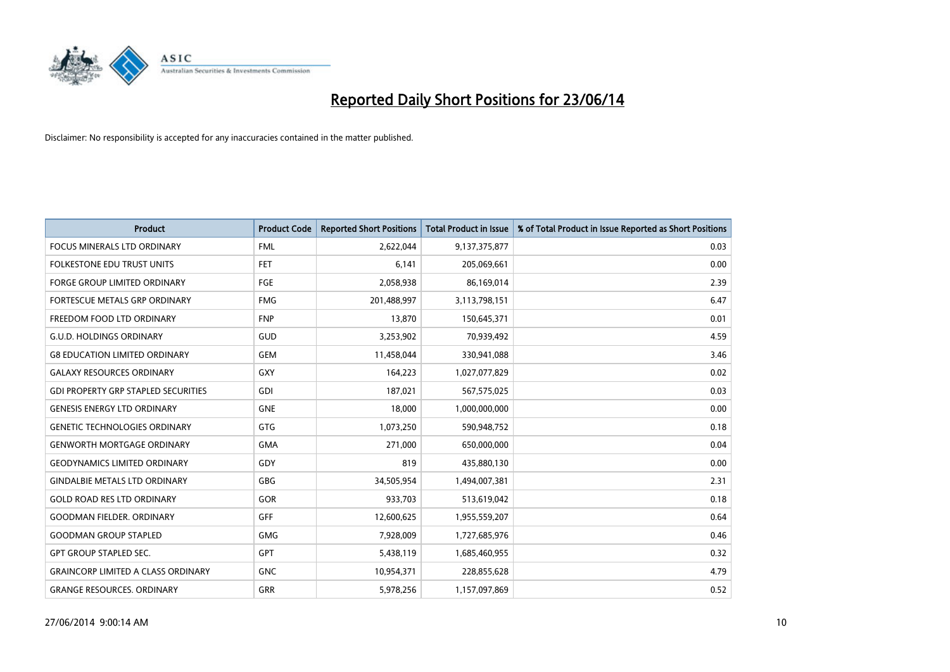

| <b>Product</b>                             | <b>Product Code</b> | <b>Reported Short Positions</b> | <b>Total Product in Issue</b> | % of Total Product in Issue Reported as Short Positions |
|--------------------------------------------|---------------------|---------------------------------|-------------------------------|---------------------------------------------------------|
| <b>FOCUS MINERALS LTD ORDINARY</b>         | <b>FML</b>          | 2,622,044                       | 9,137,375,877                 | 0.03                                                    |
| FOLKESTONE EDU TRUST UNITS                 | <b>FET</b>          | 6,141                           | 205,069,661                   | 0.00                                                    |
| <b>FORGE GROUP LIMITED ORDINARY</b>        | FGE                 | 2,058,938                       | 86,169,014                    | 2.39                                                    |
| <b>FORTESCUE METALS GRP ORDINARY</b>       | <b>FMG</b>          | 201,488,997                     | 3,113,798,151                 | 6.47                                                    |
| FREEDOM FOOD LTD ORDINARY                  | <b>FNP</b>          | 13,870                          | 150,645,371                   | 0.01                                                    |
| <b>G.U.D. HOLDINGS ORDINARY</b>            | GUD                 | 3,253,902                       | 70,939,492                    | 4.59                                                    |
| <b>G8 EDUCATION LIMITED ORDINARY</b>       | <b>GEM</b>          | 11,458,044                      | 330,941,088                   | 3.46                                                    |
| <b>GALAXY RESOURCES ORDINARY</b>           | GXY                 | 164,223                         | 1,027,077,829                 | 0.02                                                    |
| <b>GDI PROPERTY GRP STAPLED SECURITIES</b> | GDI                 | 187,021                         | 567,575,025                   | 0.03                                                    |
| <b>GENESIS ENERGY LTD ORDINARY</b>         | <b>GNE</b>          | 18,000                          | 1,000,000,000                 | 0.00                                                    |
| <b>GENETIC TECHNOLOGIES ORDINARY</b>       | <b>GTG</b>          | 1,073,250                       | 590,948,752                   | 0.18                                                    |
| <b>GENWORTH MORTGAGE ORDINARY</b>          | <b>GMA</b>          | 271,000                         | 650,000,000                   | 0.04                                                    |
| <b>GEODYNAMICS LIMITED ORDINARY</b>        | GDY                 | 819                             | 435,880,130                   | 0.00                                                    |
| <b>GINDALBIE METALS LTD ORDINARY</b>       | GBG                 | 34,505,954                      | 1,494,007,381                 | 2.31                                                    |
| <b>GOLD ROAD RES LTD ORDINARY</b>          | GOR                 | 933,703                         | 513,619,042                   | 0.18                                                    |
| <b>GOODMAN FIELDER, ORDINARY</b>           | GFF                 | 12,600,625                      | 1,955,559,207                 | 0.64                                                    |
| <b>GOODMAN GROUP STAPLED</b>               | <b>GMG</b>          | 7,928,009                       | 1,727,685,976                 | 0.46                                                    |
| <b>GPT GROUP STAPLED SEC.</b>              | <b>GPT</b>          | 5,438,119                       | 1,685,460,955                 | 0.32                                                    |
| <b>GRAINCORP LIMITED A CLASS ORDINARY</b>  | <b>GNC</b>          | 10,954,371                      | 228,855,628                   | 4.79                                                    |
| <b>GRANGE RESOURCES, ORDINARY</b>          | <b>GRR</b>          | 5,978,256                       | 1,157,097,869                 | 0.52                                                    |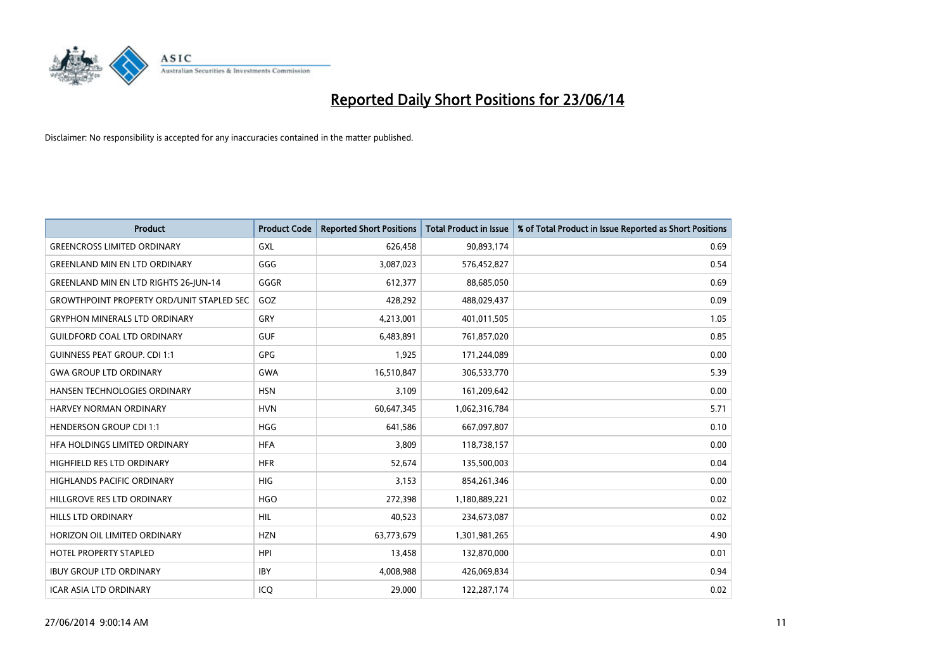

| <b>Product</b>                                   | <b>Product Code</b> | <b>Reported Short Positions</b> | <b>Total Product in Issue</b> | % of Total Product in Issue Reported as Short Positions |
|--------------------------------------------------|---------------------|---------------------------------|-------------------------------|---------------------------------------------------------|
| <b>GREENCROSS LIMITED ORDINARY</b>               | <b>GXL</b>          | 626,458                         | 90,893,174                    | 0.69                                                    |
| <b>GREENLAND MIN EN LTD ORDINARY</b>             | GGG                 | 3,087,023                       | 576,452,827                   | 0.54                                                    |
| <b>GREENLAND MIN EN LTD RIGHTS 26-JUN-14</b>     | GGGR                | 612,377                         | 88,685,050                    | 0.69                                                    |
| <b>GROWTHPOINT PROPERTY ORD/UNIT STAPLED SEC</b> | GOZ                 | 428,292                         | 488,029,437                   | 0.09                                                    |
| <b>GRYPHON MINERALS LTD ORDINARY</b>             | GRY                 | 4,213,001                       | 401,011,505                   | 1.05                                                    |
| <b>GUILDFORD COAL LTD ORDINARY</b>               | <b>GUF</b>          | 6,483,891                       | 761,857,020                   | 0.85                                                    |
| <b>GUINNESS PEAT GROUP. CDI 1:1</b>              | <b>GPG</b>          | 1,925                           | 171,244,089                   | 0.00                                                    |
| <b>GWA GROUP LTD ORDINARY</b>                    | <b>GWA</b>          | 16,510,847                      | 306,533,770                   | 5.39                                                    |
| HANSEN TECHNOLOGIES ORDINARY                     | <b>HSN</b>          | 3,109                           | 161,209,642                   | 0.00                                                    |
| <b>HARVEY NORMAN ORDINARY</b>                    | <b>HVN</b>          | 60,647,345                      | 1,062,316,784                 | 5.71                                                    |
| <b>HENDERSON GROUP CDI 1:1</b>                   | <b>HGG</b>          | 641,586                         | 667,097,807                   | 0.10                                                    |
| HFA HOLDINGS LIMITED ORDINARY                    | <b>HFA</b>          | 3,809                           | 118,738,157                   | 0.00                                                    |
| HIGHFIELD RES LTD ORDINARY                       | <b>HFR</b>          | 52,674                          | 135,500,003                   | 0.04                                                    |
| <b>HIGHLANDS PACIFIC ORDINARY</b>                | HIG                 | 3,153                           | 854,261,346                   | 0.00                                                    |
| HILLGROVE RES LTD ORDINARY                       | <b>HGO</b>          | 272,398                         | 1,180,889,221                 | 0.02                                                    |
| <b>HILLS LTD ORDINARY</b>                        | HIL                 | 40,523                          | 234,673,087                   | 0.02                                                    |
| HORIZON OIL LIMITED ORDINARY                     | <b>HZN</b>          | 63,773,679                      | 1,301,981,265                 | 4.90                                                    |
| HOTEL PROPERTY STAPLED                           | <b>HPI</b>          | 13,458                          | 132,870,000                   | 0.01                                                    |
| <b>IBUY GROUP LTD ORDINARY</b>                   | <b>IBY</b>          | 4,008,988                       | 426,069,834                   | 0.94                                                    |
| ICAR ASIA LTD ORDINARY                           | ICQ                 | 29,000                          | 122,287,174                   | 0.02                                                    |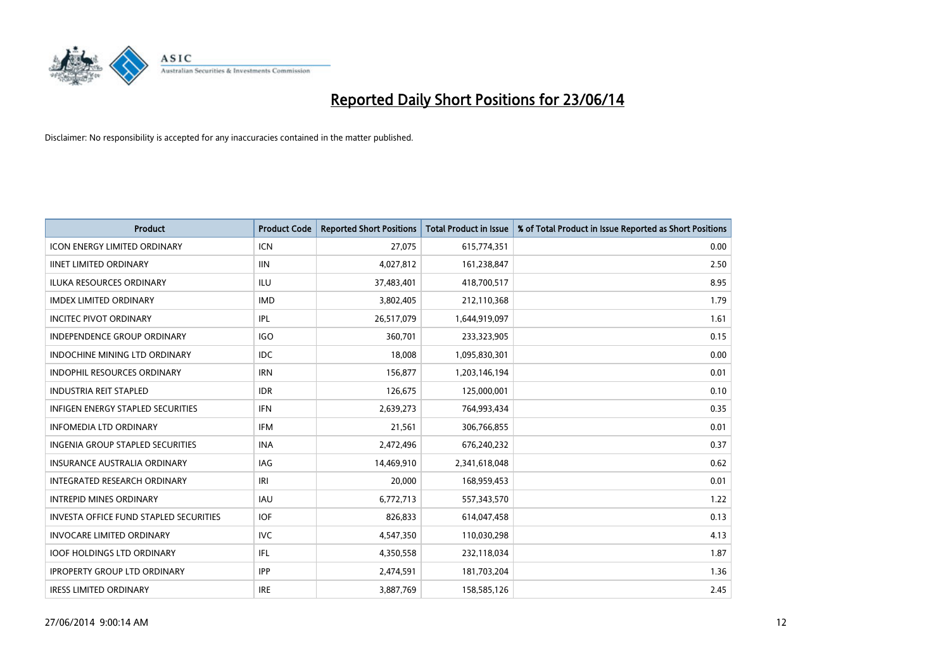

| <b>Product</b>                                | <b>Product Code</b> | <b>Reported Short Positions</b> | <b>Total Product in Issue</b> | % of Total Product in Issue Reported as Short Positions |
|-----------------------------------------------|---------------------|---------------------------------|-------------------------------|---------------------------------------------------------|
| <b>ICON ENERGY LIMITED ORDINARY</b>           | <b>ICN</b>          | 27,075                          | 615,774,351                   | 0.00                                                    |
| <b>IINET LIMITED ORDINARY</b>                 | <b>IIN</b>          | 4,027,812                       | 161,238,847                   | 2.50                                                    |
| <b>ILUKA RESOURCES ORDINARY</b>               | ILU                 | 37,483,401                      | 418,700,517                   | 8.95                                                    |
| <b>IMDEX LIMITED ORDINARY</b>                 | <b>IMD</b>          | 3,802,405                       | 212,110,368                   | 1.79                                                    |
| <b>INCITEC PIVOT ORDINARY</b>                 | IPL                 | 26,517,079                      | 1,644,919,097                 | 1.61                                                    |
| <b>INDEPENDENCE GROUP ORDINARY</b>            | <b>IGO</b>          | 360,701                         | 233,323,905                   | 0.15                                                    |
| <b>INDOCHINE MINING LTD ORDINARY</b>          | <b>IDC</b>          | 18,008                          | 1,095,830,301                 | 0.00                                                    |
| INDOPHIL RESOURCES ORDINARY                   | <b>IRN</b>          | 156,877                         | 1,203,146,194                 | 0.01                                                    |
| <b>INDUSTRIA REIT STAPLED</b>                 | <b>IDR</b>          | 126,675                         | 125,000,001                   | 0.10                                                    |
| <b>INFIGEN ENERGY STAPLED SECURITIES</b>      | IFN                 | 2,639,273                       | 764,993,434                   | 0.35                                                    |
| <b>INFOMEDIA LTD ORDINARY</b>                 | IFM                 | 21,561                          | 306,766,855                   | 0.01                                                    |
| <b>INGENIA GROUP STAPLED SECURITIES</b>       | <b>INA</b>          | 2,472,496                       | 676,240,232                   | 0.37                                                    |
| <b>INSURANCE AUSTRALIA ORDINARY</b>           | IAG                 | 14,469,910                      | 2,341,618,048                 | 0.62                                                    |
| <b>INTEGRATED RESEARCH ORDINARY</b>           | IRI                 | 20,000                          | 168,959,453                   | 0.01                                                    |
| <b>INTREPID MINES ORDINARY</b>                | <b>IAU</b>          | 6,772,713                       | 557,343,570                   | 1.22                                                    |
| <b>INVESTA OFFICE FUND STAPLED SECURITIES</b> | <b>IOF</b>          | 826,833                         | 614,047,458                   | 0.13                                                    |
| <b>INVOCARE LIMITED ORDINARY</b>              | <b>IVC</b>          | 4,547,350                       | 110,030,298                   | 4.13                                                    |
| <b>IOOF HOLDINGS LTD ORDINARY</b>             | IFL                 | 4,350,558                       | 232,118,034                   | 1.87                                                    |
| <b>IPROPERTY GROUP LTD ORDINARY</b>           | <b>IPP</b>          | 2,474,591                       | 181,703,204                   | 1.36                                                    |
| <b>IRESS LIMITED ORDINARY</b>                 | <b>IRE</b>          | 3,887,769                       | 158,585,126                   | 2.45                                                    |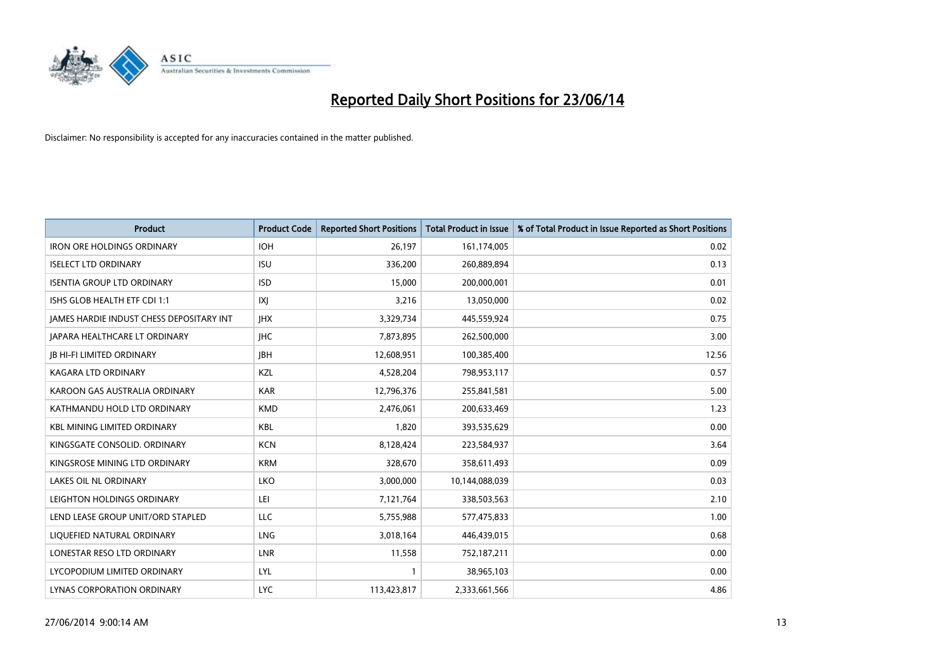

| <b>Product</b>                                  | <b>Product Code</b> | <b>Reported Short Positions</b> | <b>Total Product in Issue</b> | % of Total Product in Issue Reported as Short Positions |
|-------------------------------------------------|---------------------|---------------------------------|-------------------------------|---------------------------------------------------------|
| <b>IRON ORE HOLDINGS ORDINARY</b>               | <b>IOH</b>          | 26,197                          | 161,174,005                   | 0.02                                                    |
| <b>ISELECT LTD ORDINARY</b>                     | <b>ISU</b>          | 336,200                         | 260,889,894                   | 0.13                                                    |
| <b>ISENTIA GROUP LTD ORDINARY</b>               | <b>ISD</b>          | 15,000                          | 200,000,001                   | 0.01                                                    |
| ISHS GLOB HEALTH ETF CDI 1:1                    | IXJ                 | 3,216                           | 13,050,000                    | 0.02                                                    |
| <b>IAMES HARDIE INDUST CHESS DEPOSITARY INT</b> | <b>IHX</b>          | 3,329,734                       | 445,559,924                   | 0.75                                                    |
| <b>JAPARA HEALTHCARE LT ORDINARY</b>            | <b>IHC</b>          | 7,873,895                       | 262,500,000                   | 3.00                                                    |
| <b>JB HI-FI LIMITED ORDINARY</b>                | <b>JBH</b>          | 12,608,951                      | 100,385,400                   | 12.56                                                   |
| <b>KAGARA LTD ORDINARY</b>                      | KZL                 | 4,528,204                       | 798,953,117                   | 0.57                                                    |
| KAROON GAS AUSTRALIA ORDINARY                   | <b>KAR</b>          | 12,796,376                      | 255,841,581                   | 5.00                                                    |
| KATHMANDU HOLD LTD ORDINARY                     | <b>KMD</b>          | 2,476,061                       | 200,633,469                   | 1.23                                                    |
| <b>KBL MINING LIMITED ORDINARY</b>              | <b>KBL</b>          | 1,820                           | 393,535,629                   | 0.00                                                    |
| KINGSGATE CONSOLID. ORDINARY                    | <b>KCN</b>          | 8,128,424                       | 223,584,937                   | 3.64                                                    |
| KINGSROSE MINING LTD ORDINARY                   | <b>KRM</b>          | 328,670                         | 358,611,493                   | 0.09                                                    |
| LAKES OIL NL ORDINARY                           | LKO                 | 3,000,000                       | 10,144,088,039                | 0.03                                                    |
| LEIGHTON HOLDINGS ORDINARY                      | LEI                 | 7,121,764                       | 338,503,563                   | 2.10                                                    |
| LEND LEASE GROUP UNIT/ORD STAPLED               | LLC                 | 5,755,988                       | 577,475,833                   | 1.00                                                    |
| LIQUEFIED NATURAL ORDINARY                      | LNG                 | 3,018,164                       | 446,439,015                   | 0.68                                                    |
| LONESTAR RESO LTD ORDINARY                      | <b>LNR</b>          | 11,558                          | 752,187,211                   | 0.00                                                    |
| LYCOPODIUM LIMITED ORDINARY                     | LYL                 | 1                               | 38,965,103                    | 0.00                                                    |
| LYNAS CORPORATION ORDINARY                      | LYC.                | 113,423,817                     | 2,333,661,566                 | 4.86                                                    |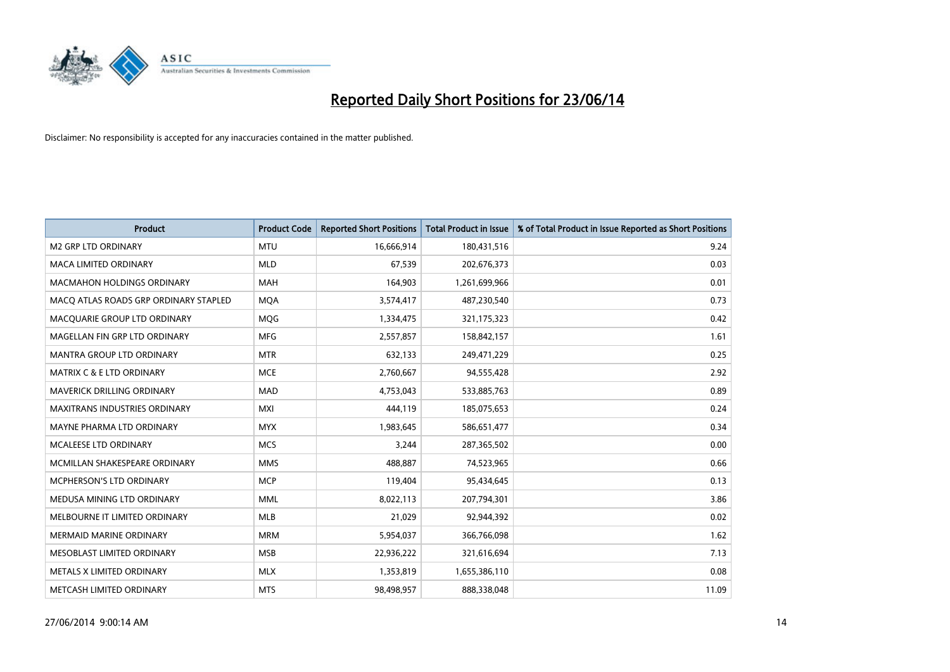

| <b>Product</b>                        | <b>Product Code</b> | <b>Reported Short Positions</b> | <b>Total Product in Issue</b> | % of Total Product in Issue Reported as Short Positions |
|---------------------------------------|---------------------|---------------------------------|-------------------------------|---------------------------------------------------------|
| <b>M2 GRP LTD ORDINARY</b>            | <b>MTU</b>          | 16,666,914                      | 180,431,516                   | 9.24                                                    |
| <b>MACA LIMITED ORDINARY</b>          | <b>MLD</b>          | 67,539                          | 202,676,373                   | 0.03                                                    |
| <b>MACMAHON HOLDINGS ORDINARY</b>     | <b>MAH</b>          | 164,903                         | 1,261,699,966                 | 0.01                                                    |
| MACO ATLAS ROADS GRP ORDINARY STAPLED | <b>MQA</b>          | 3,574,417                       | 487,230,540                   | 0.73                                                    |
| MACQUARIE GROUP LTD ORDINARY          | <b>MOG</b>          | 1,334,475                       | 321,175,323                   | 0.42                                                    |
| MAGELLAN FIN GRP LTD ORDINARY         | <b>MFG</b>          | 2,557,857                       | 158,842,157                   | 1.61                                                    |
| <b>MANTRA GROUP LTD ORDINARY</b>      | <b>MTR</b>          | 632,133                         | 249,471,229                   | 0.25                                                    |
| <b>MATRIX C &amp; E LTD ORDINARY</b>  | <b>MCE</b>          | 2,760,667                       | 94,555,428                    | 2.92                                                    |
| MAVERICK DRILLING ORDINARY            | <b>MAD</b>          | 4,753,043                       | 533,885,763                   | 0.89                                                    |
| <b>MAXITRANS INDUSTRIES ORDINARY</b>  | <b>MXI</b>          | 444,119                         | 185,075,653                   | 0.24                                                    |
| MAYNE PHARMA LTD ORDINARY             | <b>MYX</b>          | 1,983,645                       | 586,651,477                   | 0.34                                                    |
| MCALEESE LTD ORDINARY                 | <b>MCS</b>          | 3,244                           | 287,365,502                   | 0.00                                                    |
| MCMILLAN SHAKESPEARE ORDINARY         | <b>MMS</b>          | 488,887                         | 74,523,965                    | 0.66                                                    |
| <b>MCPHERSON'S LTD ORDINARY</b>       | <b>MCP</b>          | 119,404                         | 95,434,645                    | 0.13                                                    |
| MEDUSA MINING LTD ORDINARY            | <b>MML</b>          | 8,022,113                       | 207,794,301                   | 3.86                                                    |
| MELBOURNE IT LIMITED ORDINARY         | <b>MLB</b>          | 21,029                          | 92,944,392                    | 0.02                                                    |
| MERMAID MARINE ORDINARY               | <b>MRM</b>          | 5,954,037                       | 366,766,098                   | 1.62                                                    |
| MESOBLAST LIMITED ORDINARY            | <b>MSB</b>          | 22,936,222                      | 321,616,694                   | 7.13                                                    |
| METALS X LIMITED ORDINARY             | <b>MLX</b>          | 1,353,819                       | 1,655,386,110                 | 0.08                                                    |
| METCASH LIMITED ORDINARY              | <b>MTS</b>          | 98,498,957                      | 888,338,048                   | 11.09                                                   |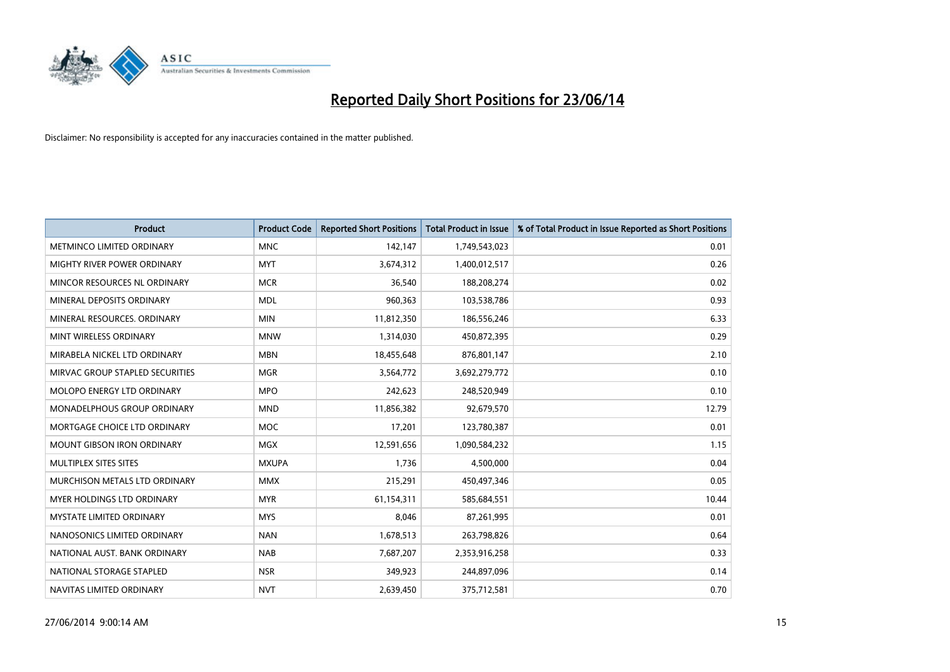

| <b>Product</b>                    | <b>Product Code</b> | <b>Reported Short Positions</b> | <b>Total Product in Issue</b> | % of Total Product in Issue Reported as Short Positions |
|-----------------------------------|---------------------|---------------------------------|-------------------------------|---------------------------------------------------------|
| METMINCO LIMITED ORDINARY         | <b>MNC</b>          | 142,147                         | 1,749,543,023                 | 0.01                                                    |
| MIGHTY RIVER POWER ORDINARY       | <b>MYT</b>          | 3,674,312                       | 1,400,012,517                 | 0.26                                                    |
| MINCOR RESOURCES NL ORDINARY      | <b>MCR</b>          | 36,540                          | 188,208,274                   | 0.02                                                    |
| MINERAL DEPOSITS ORDINARY         | <b>MDL</b>          | 960,363                         | 103,538,786                   | 0.93                                                    |
| MINERAL RESOURCES, ORDINARY       | <b>MIN</b>          | 11,812,350                      | 186,556,246                   | 6.33                                                    |
| MINT WIRELESS ORDINARY            | <b>MNW</b>          | 1,314,030                       | 450,872,395                   | 0.29                                                    |
| MIRABELA NICKEL LTD ORDINARY      | <b>MBN</b>          | 18,455,648                      | 876,801,147                   | 2.10                                                    |
| MIRVAC GROUP STAPLED SECURITIES   | <b>MGR</b>          | 3,564,772                       | 3,692,279,772                 | 0.10                                                    |
| MOLOPO ENERGY LTD ORDINARY        | <b>MPO</b>          | 242,623                         | 248,520,949                   | 0.10                                                    |
| MONADELPHOUS GROUP ORDINARY       | <b>MND</b>          | 11,856,382                      | 92,679,570                    | 12.79                                                   |
| MORTGAGE CHOICE LTD ORDINARY      | <b>MOC</b>          | 17,201                          | 123,780,387                   | 0.01                                                    |
| <b>MOUNT GIBSON IRON ORDINARY</b> | <b>MGX</b>          | 12,591,656                      | 1,090,584,232                 | 1.15                                                    |
| MULTIPLEX SITES SITES             | <b>MXUPA</b>        | 1,736                           | 4,500,000                     | 0.04                                                    |
| MURCHISON METALS LTD ORDINARY     | <b>MMX</b>          | 215,291                         | 450,497,346                   | 0.05                                                    |
| <b>MYER HOLDINGS LTD ORDINARY</b> | <b>MYR</b>          | 61,154,311                      | 585,684,551                   | 10.44                                                   |
| <b>MYSTATE LIMITED ORDINARY</b>   | <b>MYS</b>          | 8,046                           | 87,261,995                    | 0.01                                                    |
| NANOSONICS LIMITED ORDINARY       | <b>NAN</b>          | 1,678,513                       | 263,798,826                   | 0.64                                                    |
| NATIONAL AUST, BANK ORDINARY      | <b>NAB</b>          | 7,687,207                       | 2,353,916,258                 | 0.33                                                    |
| NATIONAL STORAGE STAPLED          | <b>NSR</b>          | 349,923                         | 244,897,096                   | 0.14                                                    |
| NAVITAS LIMITED ORDINARY          | <b>NVT</b>          | 2,639,450                       | 375,712,581                   | 0.70                                                    |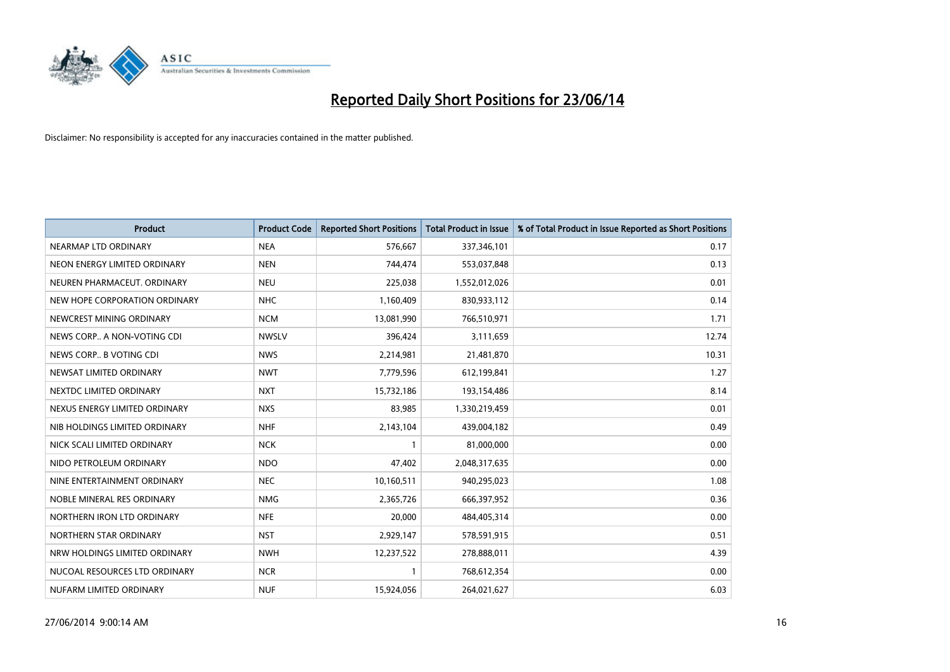

| <b>Product</b>                | <b>Product Code</b> | <b>Reported Short Positions</b> | <b>Total Product in Issue</b> | % of Total Product in Issue Reported as Short Positions |
|-------------------------------|---------------------|---------------------------------|-------------------------------|---------------------------------------------------------|
| NEARMAP LTD ORDINARY          | <b>NEA</b>          | 576,667                         | 337,346,101                   | 0.17                                                    |
| NEON ENERGY LIMITED ORDINARY  | <b>NEN</b>          | 744,474                         | 553,037,848                   | 0.13                                                    |
| NEUREN PHARMACEUT, ORDINARY   | <b>NEU</b>          | 225,038                         | 1,552,012,026                 | 0.01                                                    |
| NEW HOPE CORPORATION ORDINARY | <b>NHC</b>          | 1,160,409                       | 830,933,112                   | 0.14                                                    |
| NEWCREST MINING ORDINARY      | <b>NCM</b>          | 13,081,990                      | 766,510,971                   | 1.71                                                    |
| NEWS CORP A NON-VOTING CDI    | <b>NWSLV</b>        | 396,424                         | 3,111,659                     | 12.74                                                   |
| NEWS CORP B VOTING CDI        | <b>NWS</b>          | 2,214,981                       | 21,481,870                    | 10.31                                                   |
| NEWSAT LIMITED ORDINARY       | <b>NWT</b>          | 7,779,596                       | 612,199,841                   | 1.27                                                    |
| NEXTDC LIMITED ORDINARY       | <b>NXT</b>          | 15,732,186                      | 193,154,486                   | 8.14                                                    |
| NEXUS ENERGY LIMITED ORDINARY | <b>NXS</b>          | 83,985                          | 1,330,219,459                 | 0.01                                                    |
| NIB HOLDINGS LIMITED ORDINARY | <b>NHF</b>          | 2,143,104                       | 439,004,182                   | 0.49                                                    |
| NICK SCALI LIMITED ORDINARY   | <b>NCK</b>          | $\mathbf{1}$                    | 81,000,000                    | 0.00                                                    |
| NIDO PETROLEUM ORDINARY       | <b>NDO</b>          | 47,402                          | 2,048,317,635                 | 0.00                                                    |
| NINE ENTERTAINMENT ORDINARY   | <b>NEC</b>          | 10,160,511                      | 940,295,023                   | 1.08                                                    |
| NOBLE MINERAL RES ORDINARY    | <b>NMG</b>          | 2,365,726                       | 666,397,952                   | 0.36                                                    |
| NORTHERN IRON LTD ORDINARY    | <b>NFE</b>          | 20,000                          | 484,405,314                   | 0.00                                                    |
| NORTHERN STAR ORDINARY        | <b>NST</b>          | 2,929,147                       | 578,591,915                   | 0.51                                                    |
| NRW HOLDINGS LIMITED ORDINARY | <b>NWH</b>          | 12,237,522                      | 278,888,011                   | 4.39                                                    |
| NUCOAL RESOURCES LTD ORDINARY | <b>NCR</b>          | 1                               | 768,612,354                   | 0.00                                                    |
| NUFARM LIMITED ORDINARY       | <b>NUF</b>          | 15,924,056                      | 264,021,627                   | 6.03                                                    |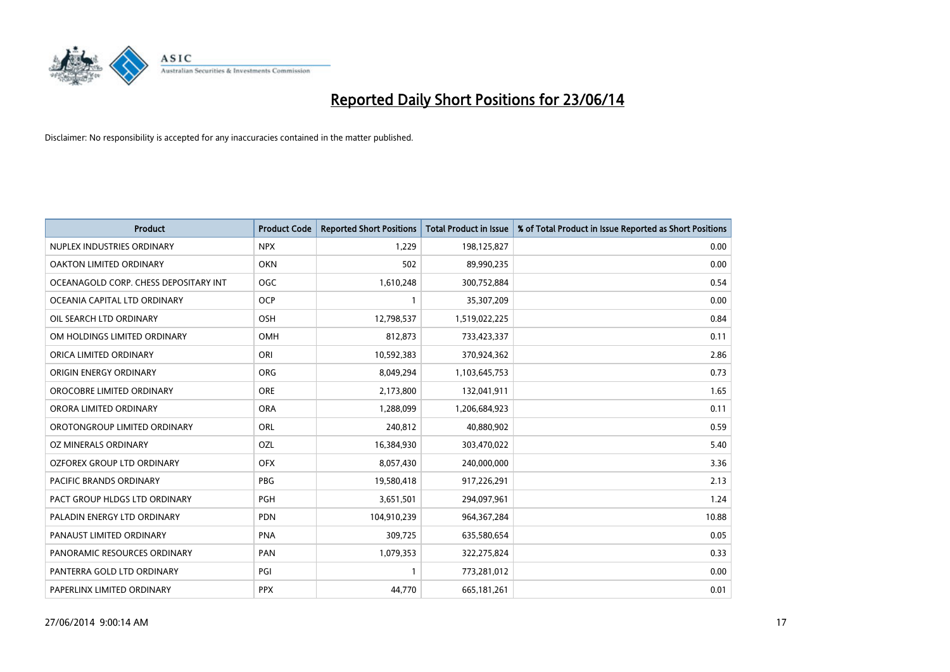

| <b>Product</b>                        | <b>Product Code</b> | <b>Reported Short Positions</b> | <b>Total Product in Issue</b> | % of Total Product in Issue Reported as Short Positions |
|---------------------------------------|---------------------|---------------------------------|-------------------------------|---------------------------------------------------------|
| NUPLEX INDUSTRIES ORDINARY            | <b>NPX</b>          | 1,229                           | 198,125,827                   | 0.00                                                    |
| OAKTON LIMITED ORDINARY               | <b>OKN</b>          | 502                             | 89,990,235                    | 0.00                                                    |
| OCEANAGOLD CORP. CHESS DEPOSITARY INT | <b>OGC</b>          | 1,610,248                       | 300,752,884                   | 0.54                                                    |
| OCEANIA CAPITAL LTD ORDINARY          | <b>OCP</b>          | 1                               | 35,307,209                    | 0.00                                                    |
| OIL SEARCH LTD ORDINARY               | OSH                 | 12,798,537                      | 1,519,022,225                 | 0.84                                                    |
| OM HOLDINGS LIMITED ORDINARY          | OMH                 | 812,873                         | 733,423,337                   | 0.11                                                    |
| ORICA LIMITED ORDINARY                | ORI                 | 10,592,383                      | 370,924,362                   | 2.86                                                    |
| ORIGIN ENERGY ORDINARY                | <b>ORG</b>          | 8,049,294                       | 1,103,645,753                 | 0.73                                                    |
| OROCOBRE LIMITED ORDINARY             | <b>ORE</b>          | 2,173,800                       | 132,041,911                   | 1.65                                                    |
| ORORA LIMITED ORDINARY                | <b>ORA</b>          | 1,288,099                       | 1,206,684,923                 | 0.11                                                    |
| OROTONGROUP LIMITED ORDINARY          | ORL                 | 240,812                         | 40,880,902                    | 0.59                                                    |
| OZ MINERALS ORDINARY                  | OZL                 | 16,384,930                      | 303,470,022                   | 5.40                                                    |
| OZFOREX GROUP LTD ORDINARY            | <b>OFX</b>          | 8,057,430                       | 240,000,000                   | 3.36                                                    |
| <b>PACIFIC BRANDS ORDINARY</b>        | <b>PBG</b>          | 19,580,418                      | 917,226,291                   | 2.13                                                    |
| PACT GROUP HLDGS LTD ORDINARY         | PGH                 | 3,651,501                       | 294,097,961                   | 1.24                                                    |
| PALADIN ENERGY LTD ORDINARY           | <b>PDN</b>          | 104,910,239                     | 964, 367, 284                 | 10.88                                                   |
| PANAUST LIMITED ORDINARY              | <b>PNA</b>          | 309,725                         | 635,580,654                   | 0.05                                                    |
| PANORAMIC RESOURCES ORDINARY          | PAN                 | 1,079,353                       | 322,275,824                   | 0.33                                                    |
| PANTERRA GOLD LTD ORDINARY            | PGI                 | $\mathbf{1}$                    | 773,281,012                   | 0.00                                                    |
| PAPERLINX LIMITED ORDINARY            | <b>PPX</b>          | 44,770                          | 665, 181, 261                 | 0.01                                                    |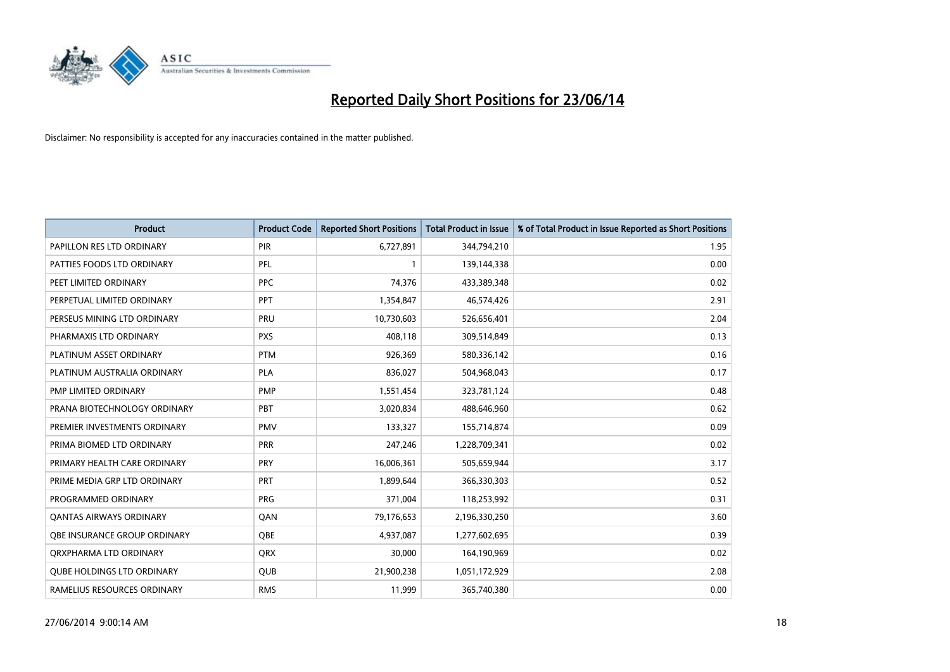

| <b>Product</b>                    | <b>Product Code</b> | <b>Reported Short Positions</b> | <b>Total Product in Issue</b> | % of Total Product in Issue Reported as Short Positions |
|-----------------------------------|---------------------|---------------------------------|-------------------------------|---------------------------------------------------------|
| PAPILLON RES LTD ORDINARY         | PIR                 | 6,727,891                       | 344,794,210                   | 1.95                                                    |
| PATTIES FOODS LTD ORDINARY        | PFL                 |                                 | 139,144,338                   | 0.00                                                    |
| PEET LIMITED ORDINARY             | <b>PPC</b>          | 74,376                          | 433,389,348                   | 0.02                                                    |
| PERPETUAL LIMITED ORDINARY        | PPT                 | 1,354,847                       | 46,574,426                    | 2.91                                                    |
| PERSEUS MINING LTD ORDINARY       | PRU                 | 10,730,603                      | 526,656,401                   | 2.04                                                    |
| PHARMAXIS LTD ORDINARY            | <b>PXS</b>          | 408,118                         | 309,514,849                   | 0.13                                                    |
| PLATINUM ASSET ORDINARY           | <b>PTM</b>          | 926,369                         | 580,336,142                   | 0.16                                                    |
| PLATINUM AUSTRALIA ORDINARY       | <b>PLA</b>          | 836,027                         | 504,968,043                   | 0.17                                                    |
| PMP LIMITED ORDINARY              | <b>PMP</b>          | 1,551,454                       | 323,781,124                   | 0.48                                                    |
| PRANA BIOTECHNOLOGY ORDINARY      | <b>PBT</b>          | 3,020,834                       | 488,646,960                   | 0.62                                                    |
| PREMIER INVESTMENTS ORDINARY      | <b>PMV</b>          | 133,327                         | 155,714,874                   | 0.09                                                    |
| PRIMA BIOMED LTD ORDINARY         | <b>PRR</b>          | 247,246                         | 1,228,709,341                 | 0.02                                                    |
| PRIMARY HEALTH CARE ORDINARY      | <b>PRY</b>          | 16,006,361                      | 505,659,944                   | 3.17                                                    |
| PRIME MEDIA GRP LTD ORDINARY      | <b>PRT</b>          | 1,899,644                       | 366,330,303                   | 0.52                                                    |
| PROGRAMMED ORDINARY               | <b>PRG</b>          | 371,004                         | 118,253,992                   | 0.31                                                    |
| <b>QANTAS AIRWAYS ORDINARY</b>    | QAN                 | 79,176,653                      | 2,196,330,250                 | 3.60                                                    |
| OBE INSURANCE GROUP ORDINARY      | OBE                 | 4,937,087                       | 1,277,602,695                 | 0.39                                                    |
| ORXPHARMA LTD ORDINARY            | QRX                 | 30,000                          | 164,190,969                   | 0.02                                                    |
| <b>QUBE HOLDINGS LTD ORDINARY</b> | <b>QUB</b>          | 21,900,238                      | 1,051,172,929                 | 2.08                                                    |
| RAMELIUS RESOURCES ORDINARY       | <b>RMS</b>          | 11,999                          | 365,740,380                   | 0.00                                                    |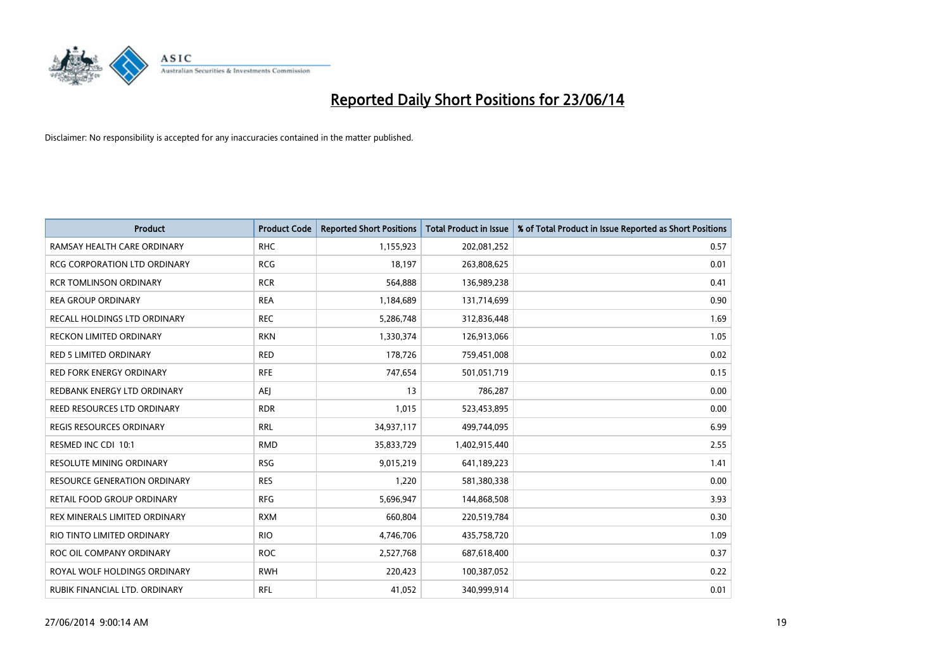

| <b>Product</b>                      | <b>Product Code</b> | <b>Reported Short Positions</b> | <b>Total Product in Issue</b> | % of Total Product in Issue Reported as Short Positions |
|-------------------------------------|---------------------|---------------------------------|-------------------------------|---------------------------------------------------------|
| RAMSAY HEALTH CARE ORDINARY         | <b>RHC</b>          | 1,155,923                       | 202,081,252                   | 0.57                                                    |
| RCG CORPORATION LTD ORDINARY        | <b>RCG</b>          | 18,197                          | 263,808,625                   | 0.01                                                    |
| <b>RCR TOMLINSON ORDINARY</b>       | <b>RCR</b>          | 564,888                         | 136,989,238                   | 0.41                                                    |
| <b>REA GROUP ORDINARY</b>           | <b>REA</b>          | 1,184,689                       | 131,714,699                   | 0.90                                                    |
| RECALL HOLDINGS LTD ORDINARY        | <b>REC</b>          | 5,286,748                       | 312,836,448                   | 1.69                                                    |
| <b>RECKON LIMITED ORDINARY</b>      | <b>RKN</b>          | 1,330,374                       | 126,913,066                   | 1.05                                                    |
| <b>RED 5 LIMITED ORDINARY</b>       | <b>RED</b>          | 178,726                         | 759,451,008                   | 0.02                                                    |
| RED FORK ENERGY ORDINARY            | <b>RFE</b>          | 747,654                         | 501,051,719                   | 0.15                                                    |
| REDBANK ENERGY LTD ORDINARY         | AEJ                 | 13                              | 786,287                       | 0.00                                                    |
| REED RESOURCES LTD ORDINARY         | <b>RDR</b>          | 1,015                           | 523,453,895                   | 0.00                                                    |
| REGIS RESOURCES ORDINARY            | <b>RRL</b>          | 34,937,117                      | 499,744,095                   | 6.99                                                    |
| RESMED INC CDI 10:1                 | <b>RMD</b>          | 35,833,729                      | 1,402,915,440                 | 2.55                                                    |
| RESOLUTE MINING ORDINARY            | <b>RSG</b>          | 9,015,219                       | 641,189,223                   | 1.41                                                    |
| <b>RESOURCE GENERATION ORDINARY</b> | <b>RES</b>          | 1,220                           | 581,380,338                   | 0.00                                                    |
| RETAIL FOOD GROUP ORDINARY          | <b>RFG</b>          | 5,696,947                       | 144,868,508                   | 3.93                                                    |
| REX MINERALS LIMITED ORDINARY       | <b>RXM</b>          | 660,804                         | 220,519,784                   | 0.30                                                    |
| RIO TINTO LIMITED ORDINARY          | <b>RIO</b>          | 4,746,706                       | 435,758,720                   | 1.09                                                    |
| ROC OIL COMPANY ORDINARY            | <b>ROC</b>          | 2,527,768                       | 687,618,400                   | 0.37                                                    |
| ROYAL WOLF HOLDINGS ORDINARY        | <b>RWH</b>          | 220,423                         | 100,387,052                   | 0.22                                                    |
| RUBIK FINANCIAL LTD. ORDINARY       | RFL                 | 41,052                          | 340,999,914                   | 0.01                                                    |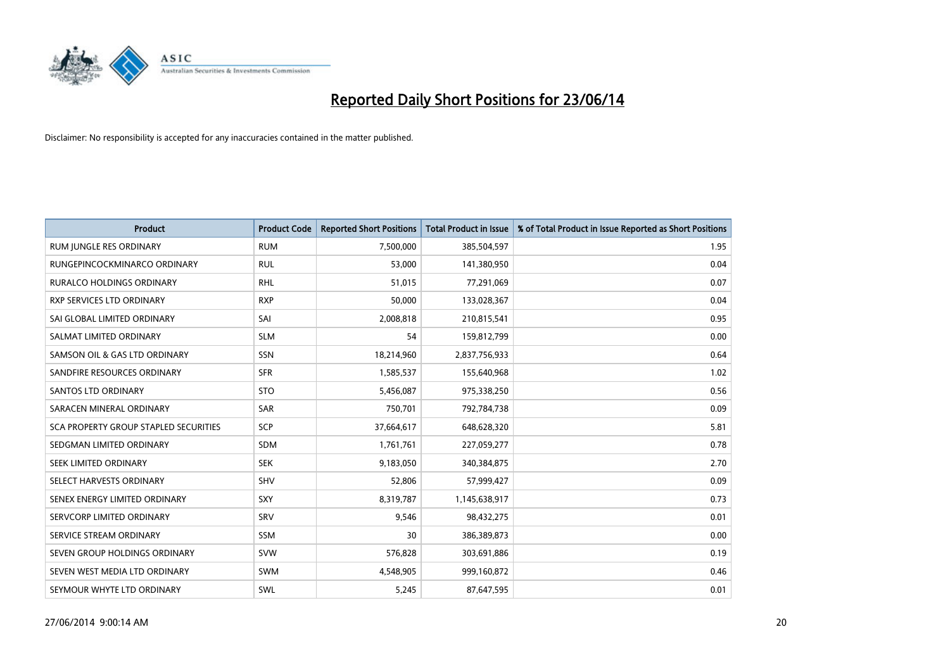

| <b>Product</b>                               | <b>Product Code</b> | <b>Reported Short Positions</b> | <b>Total Product in Issue</b> | % of Total Product in Issue Reported as Short Positions |
|----------------------------------------------|---------------------|---------------------------------|-------------------------------|---------------------------------------------------------|
| RUM JUNGLE RES ORDINARY                      | <b>RUM</b>          | 7,500,000                       | 385,504,597                   | 1.95                                                    |
| RUNGEPINCOCKMINARCO ORDINARY                 | <b>RUL</b>          | 53,000                          | 141,380,950                   | 0.04                                                    |
| <b>RURALCO HOLDINGS ORDINARY</b>             | <b>RHL</b>          | 51,015                          | 77,291,069                    | 0.07                                                    |
| RXP SERVICES LTD ORDINARY                    | <b>RXP</b>          | 50,000                          | 133,028,367                   | 0.04                                                    |
| SAI GLOBAL LIMITED ORDINARY                  | SAI                 | 2,008,818                       | 210,815,541                   | 0.95                                                    |
| SALMAT LIMITED ORDINARY                      | <b>SLM</b>          | 54                              | 159,812,799                   | 0.00                                                    |
| SAMSON OIL & GAS LTD ORDINARY                | SSN                 | 18,214,960                      | 2,837,756,933                 | 0.64                                                    |
| SANDFIRE RESOURCES ORDINARY                  | <b>SFR</b>          | 1,585,537                       | 155,640,968                   | 1.02                                                    |
| SANTOS LTD ORDINARY                          | <b>STO</b>          | 5,456,087                       | 975,338,250                   | 0.56                                                    |
| SARACEN MINERAL ORDINARY                     | SAR                 | 750,701                         | 792,784,738                   | 0.09                                                    |
| <b>SCA PROPERTY GROUP STAPLED SECURITIES</b> | <b>SCP</b>          | 37,664,617                      | 648,628,320                   | 5.81                                                    |
| SEDGMAN LIMITED ORDINARY                     | <b>SDM</b>          | 1,761,761                       | 227,059,277                   | 0.78                                                    |
| SEEK LIMITED ORDINARY                        | <b>SEK</b>          | 9,183,050                       | 340,384,875                   | 2.70                                                    |
| SELECT HARVESTS ORDINARY                     | SHV                 | 52,806                          | 57,999,427                    | 0.09                                                    |
| SENEX ENERGY LIMITED ORDINARY                | SXY                 | 8,319,787                       | 1,145,638,917                 | 0.73                                                    |
| SERVCORP LIMITED ORDINARY                    | SRV                 | 9,546                           | 98,432,275                    | 0.01                                                    |
| SERVICE STREAM ORDINARY                      | SSM                 | 30                              | 386,389,873                   | 0.00                                                    |
| SEVEN GROUP HOLDINGS ORDINARY                | <b>SVW</b>          | 576,828                         | 303,691,886                   | 0.19                                                    |
| SEVEN WEST MEDIA LTD ORDINARY                | SWM                 | 4,548,905                       | 999,160,872                   | 0.46                                                    |
| SEYMOUR WHYTE LTD ORDINARY                   | SWL                 | 5,245                           | 87,647,595                    | 0.01                                                    |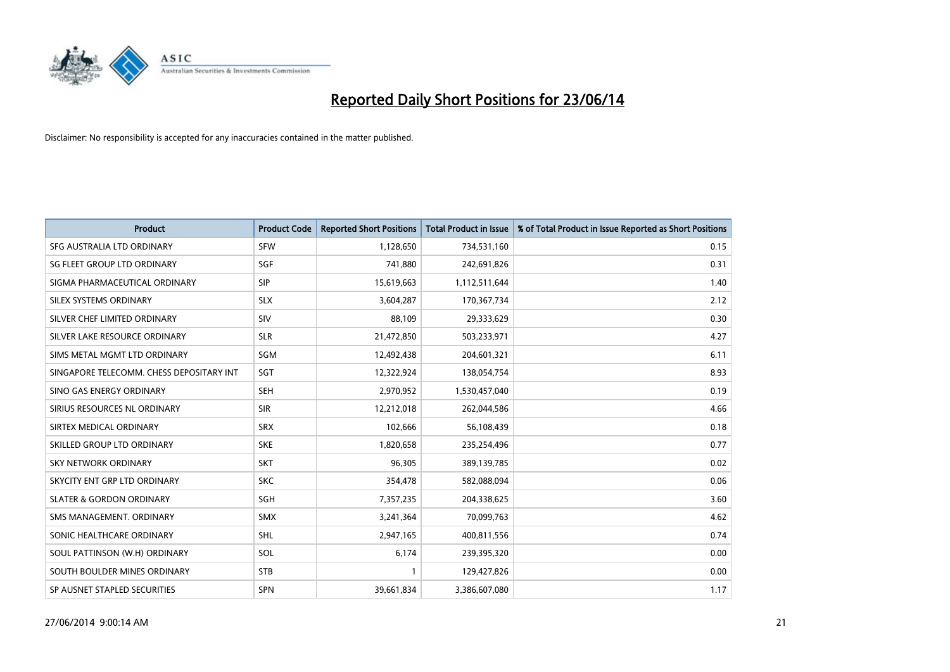

| <b>Product</b>                           | <b>Product Code</b> | <b>Reported Short Positions</b> | <b>Total Product in Issue</b> | % of Total Product in Issue Reported as Short Positions |
|------------------------------------------|---------------------|---------------------------------|-------------------------------|---------------------------------------------------------|
| SFG AUSTRALIA LTD ORDINARY               | <b>SFW</b>          | 1,128,650                       | 734,531,160                   | 0.15                                                    |
| SG FLEET GROUP LTD ORDINARY              | SGF                 | 741,880                         | 242,691,826                   | 0.31                                                    |
| SIGMA PHARMACEUTICAL ORDINARY            | <b>SIP</b>          | 15,619,663                      | 1,112,511,644                 | 1.40                                                    |
| SILEX SYSTEMS ORDINARY                   | <b>SLX</b>          | 3,604,287                       | 170,367,734                   | 2.12                                                    |
| SILVER CHEF LIMITED ORDINARY             | SIV                 | 88,109                          | 29,333,629                    | 0.30                                                    |
| SILVER LAKE RESOURCE ORDINARY            | <b>SLR</b>          | 21,472,850                      | 503,233,971                   | 4.27                                                    |
| SIMS METAL MGMT LTD ORDINARY             | SGM                 | 12,492,438                      | 204,601,321                   | 6.11                                                    |
| SINGAPORE TELECOMM. CHESS DEPOSITARY INT | SGT                 | 12,322,924                      | 138,054,754                   | 8.93                                                    |
| SINO GAS ENERGY ORDINARY                 | <b>SEH</b>          | 2,970,952                       | 1,530,457,040                 | 0.19                                                    |
| SIRIUS RESOURCES NL ORDINARY             | <b>SIR</b>          | 12,212,018                      | 262,044,586                   | 4.66                                                    |
| SIRTEX MEDICAL ORDINARY                  | <b>SRX</b>          | 102,666                         | 56,108,439                    | 0.18                                                    |
| SKILLED GROUP LTD ORDINARY               | <b>SKE</b>          | 1,820,658                       | 235,254,496                   | 0.77                                                    |
| <b>SKY NETWORK ORDINARY</b>              | <b>SKT</b>          | 96,305                          | 389,139,785                   | 0.02                                                    |
| SKYCITY ENT GRP LTD ORDINARY             | <b>SKC</b>          | 354,478                         | 582,088,094                   | 0.06                                                    |
| <b>SLATER &amp; GORDON ORDINARY</b>      | SGH                 | 7,357,235                       | 204,338,625                   | 3.60                                                    |
| SMS MANAGEMENT. ORDINARY                 | <b>SMX</b>          | 3,241,364                       | 70,099,763                    | 4.62                                                    |
| SONIC HEALTHCARE ORDINARY                | <b>SHL</b>          | 2,947,165                       | 400,811,556                   | 0.74                                                    |
| SOUL PATTINSON (W.H) ORDINARY            | SOL                 | 6,174                           | 239,395,320                   | 0.00                                                    |
| SOUTH BOULDER MINES ORDINARY             | <b>STB</b>          | 1                               | 129,427,826                   | 0.00                                                    |
| SP AUSNET STAPLED SECURITIES             | <b>SPN</b>          | 39,661,834                      | 3,386,607,080                 | 1.17                                                    |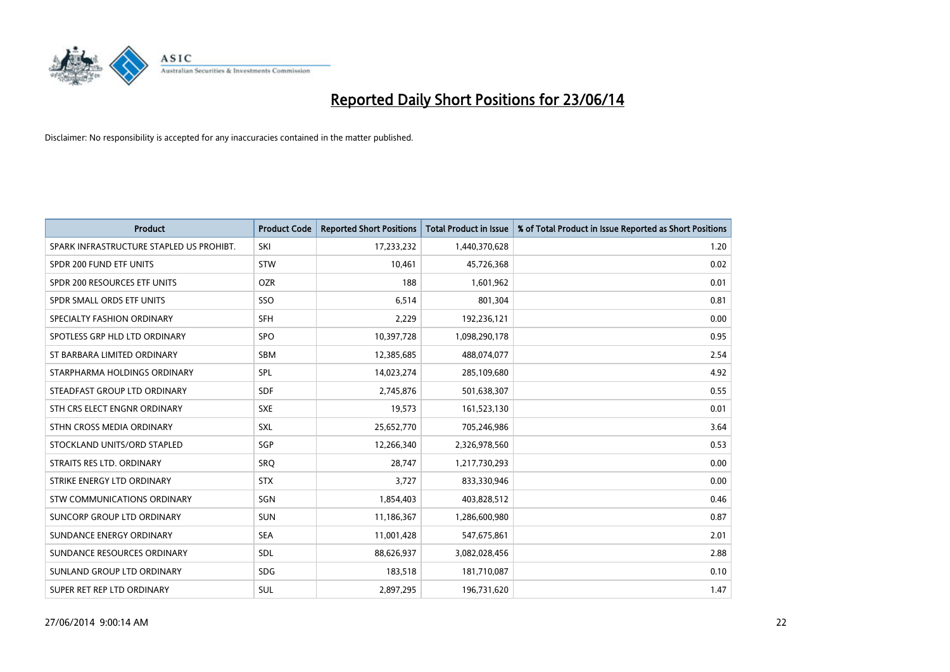

| <b>Product</b>                           | <b>Product Code</b> | <b>Reported Short Positions</b> | <b>Total Product in Issue</b> | % of Total Product in Issue Reported as Short Positions |
|------------------------------------------|---------------------|---------------------------------|-------------------------------|---------------------------------------------------------|
| SPARK INFRASTRUCTURE STAPLED US PROHIBT. | SKI                 | 17,233,232                      | 1,440,370,628                 | 1.20                                                    |
| SPDR 200 FUND ETF UNITS                  | <b>STW</b>          | 10,461                          | 45,726,368                    | 0.02                                                    |
| SPDR 200 RESOURCES ETF UNITS             | <b>OZR</b>          | 188                             | 1,601,962                     | 0.01                                                    |
| SPDR SMALL ORDS ETF UNITS                | SSO                 | 6,514                           | 801,304                       | 0.81                                                    |
| SPECIALTY FASHION ORDINARY               | <b>SFH</b>          | 2,229                           | 192,236,121                   | 0.00                                                    |
| SPOTLESS GRP HLD LTD ORDINARY            | <b>SPO</b>          | 10,397,728                      | 1,098,290,178                 | 0.95                                                    |
| ST BARBARA LIMITED ORDINARY              | SBM                 | 12,385,685                      | 488,074,077                   | 2.54                                                    |
| STARPHARMA HOLDINGS ORDINARY             | SPL                 | 14,023,274                      | 285,109,680                   | 4.92                                                    |
| STEADFAST GROUP LTD ORDINARY             | <b>SDF</b>          | 2,745,876                       | 501,638,307                   | 0.55                                                    |
| STH CRS ELECT ENGNR ORDINARY             | <b>SXE</b>          | 19,573                          | 161,523,130                   | 0.01                                                    |
| STHN CROSS MEDIA ORDINARY                | <b>SXL</b>          | 25,652,770                      | 705,246,986                   | 3.64                                                    |
| STOCKLAND UNITS/ORD STAPLED              | SGP                 | 12,266,340                      | 2,326,978,560                 | 0.53                                                    |
| STRAITS RES LTD. ORDINARY                | SRO                 | 28,747                          | 1,217,730,293                 | 0.00                                                    |
| STRIKE ENERGY LTD ORDINARY               | <b>STX</b>          | 3,727                           | 833,330,946                   | 0.00                                                    |
| STW COMMUNICATIONS ORDINARY              | SGN                 | 1,854,403                       | 403,828,512                   | 0.46                                                    |
| SUNCORP GROUP LTD ORDINARY               | <b>SUN</b>          | 11,186,367                      | 1,286,600,980                 | 0.87                                                    |
| SUNDANCE ENERGY ORDINARY                 | <b>SEA</b>          | 11,001,428                      | 547,675,861                   | 2.01                                                    |
| SUNDANCE RESOURCES ORDINARY              | <b>SDL</b>          | 88,626,937                      | 3,082,028,456                 | 2.88                                                    |
| SUNLAND GROUP LTD ORDINARY               | <b>SDG</b>          | 183,518                         | 181,710,087                   | 0.10                                                    |
| SUPER RET REP LTD ORDINARY               | SUL                 | 2,897,295                       | 196,731,620                   | 1.47                                                    |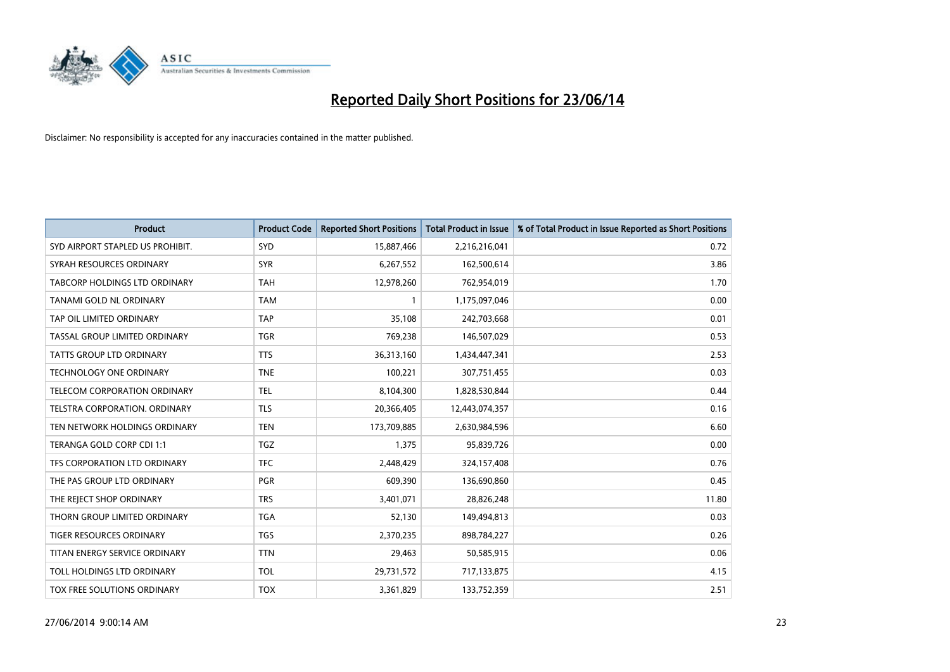

| <b>Product</b>                   | <b>Product Code</b> | <b>Reported Short Positions</b> | <b>Total Product in Issue</b> | % of Total Product in Issue Reported as Short Positions |
|----------------------------------|---------------------|---------------------------------|-------------------------------|---------------------------------------------------------|
| SYD AIRPORT STAPLED US PROHIBIT. | SYD                 | 15,887,466                      | 2,216,216,041                 | 0.72                                                    |
| SYRAH RESOURCES ORDINARY         | <b>SYR</b>          | 6,267,552                       | 162,500,614                   | 3.86                                                    |
| TABCORP HOLDINGS LTD ORDINARY    | <b>TAH</b>          | 12,978,260                      | 762,954,019                   | 1.70                                                    |
| TANAMI GOLD NL ORDINARY          | <b>TAM</b>          | $\mathbf{1}$                    | 1,175,097,046                 | 0.00                                                    |
| TAP OIL LIMITED ORDINARY         | <b>TAP</b>          | 35,108                          | 242,703,668                   | 0.01                                                    |
| TASSAL GROUP LIMITED ORDINARY    | <b>TGR</b>          | 769,238                         | 146,507,029                   | 0.53                                                    |
| <b>TATTS GROUP LTD ORDINARY</b>  | <b>TTS</b>          | 36,313,160                      | 1,434,447,341                 | 2.53                                                    |
| TECHNOLOGY ONE ORDINARY          | <b>TNE</b>          | 100,221                         | 307,751,455                   | 0.03                                                    |
| TELECOM CORPORATION ORDINARY     | <b>TEL</b>          | 8,104,300                       | 1,828,530,844                 | 0.44                                                    |
| TELSTRA CORPORATION, ORDINARY    | <b>TLS</b>          | 20,366,405                      | 12,443,074,357                | 0.16                                                    |
| TEN NETWORK HOLDINGS ORDINARY    | <b>TEN</b>          | 173,709,885                     | 2,630,984,596                 | 6.60                                                    |
| TERANGA GOLD CORP CDI 1:1        | <b>TGZ</b>          | 1,375                           | 95,839,726                    | 0.00                                                    |
| TFS CORPORATION LTD ORDINARY     | <b>TFC</b>          | 2,448,429                       | 324,157,408                   | 0.76                                                    |
| THE PAS GROUP LTD ORDINARY       | <b>PGR</b>          | 609,390                         | 136,690,860                   | 0.45                                                    |
| THE REJECT SHOP ORDINARY         | <b>TRS</b>          | 3,401,071                       | 28,826,248                    | 11.80                                                   |
| THORN GROUP LIMITED ORDINARY     | <b>TGA</b>          | 52,130                          | 149,494,813                   | 0.03                                                    |
| TIGER RESOURCES ORDINARY         | TGS                 | 2,370,235                       | 898,784,227                   | 0.26                                                    |
| TITAN ENERGY SERVICE ORDINARY    | <b>TTN</b>          | 29,463                          | 50,585,915                    | 0.06                                                    |
| TOLL HOLDINGS LTD ORDINARY       | <b>TOL</b>          | 29,731,572                      | 717,133,875                   | 4.15                                                    |
| TOX FREE SOLUTIONS ORDINARY      | <b>TOX</b>          | 3,361,829                       | 133,752,359                   | 2.51                                                    |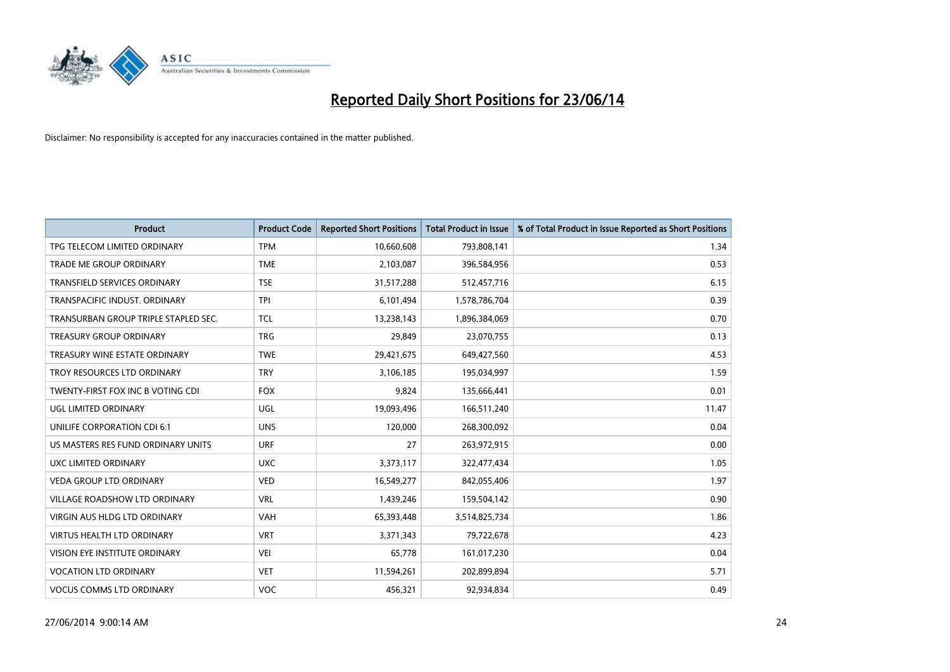

| <b>Product</b>                       | <b>Product Code</b> | <b>Reported Short Positions</b> | <b>Total Product in Issue</b> | % of Total Product in Issue Reported as Short Positions |
|--------------------------------------|---------------------|---------------------------------|-------------------------------|---------------------------------------------------------|
| TPG TELECOM LIMITED ORDINARY         | <b>TPM</b>          | 10,660,608                      | 793,808,141                   | 1.34                                                    |
| TRADE ME GROUP ORDINARY              | <b>TME</b>          | 2,103,087                       | 396,584,956                   | 0.53                                                    |
| <b>TRANSFIELD SERVICES ORDINARY</b>  | <b>TSE</b>          | 31,517,288                      | 512,457,716                   | 6.15                                                    |
| TRANSPACIFIC INDUST. ORDINARY        | <b>TPI</b>          | 6,101,494                       | 1,578,786,704                 | 0.39                                                    |
| TRANSURBAN GROUP TRIPLE STAPLED SEC. | TCL                 | 13,238,143                      | 1,896,384,069                 | 0.70                                                    |
| <b>TREASURY GROUP ORDINARY</b>       | <b>TRG</b>          | 29,849                          | 23,070,755                    | 0.13                                                    |
| TREASURY WINE ESTATE ORDINARY        | <b>TWE</b>          | 29,421,675                      | 649,427,560                   | 4.53                                                    |
| TROY RESOURCES LTD ORDINARY          | <b>TRY</b>          | 3,106,185                       | 195,034,997                   | 1.59                                                    |
| TWENTY-FIRST FOX INC B VOTING CDI    | <b>FOX</b>          | 9,824                           | 135,666,441                   | 0.01                                                    |
| UGL LIMITED ORDINARY                 | UGL                 | 19,093,496                      | 166,511,240                   | 11.47                                                   |
| UNILIFE CORPORATION CDI 6:1          | <b>UNS</b>          | 120,000                         | 268,300,092                   | 0.04                                                    |
| US MASTERS RES FUND ORDINARY UNITS   | <b>URF</b>          | 27                              | 263,972,915                   | 0.00                                                    |
| UXC LIMITED ORDINARY                 | <b>UXC</b>          | 3,373,117                       | 322,477,434                   | 1.05                                                    |
| <b>VEDA GROUP LTD ORDINARY</b>       | <b>VED</b>          | 16,549,277                      | 842,055,406                   | 1.97                                                    |
| VILLAGE ROADSHOW LTD ORDINARY        | <b>VRL</b>          | 1,439,246                       | 159,504,142                   | 0.90                                                    |
| VIRGIN AUS HLDG LTD ORDINARY         | VAH                 | 65,393,448                      | 3,514,825,734                 | 1.86                                                    |
| VIRTUS HEALTH LTD ORDINARY           | <b>VRT</b>          | 3,371,343                       | 79,722,678                    | 4.23                                                    |
| VISION EYE INSTITUTE ORDINARY        | <b>VEI</b>          | 65,778                          | 161,017,230                   | 0.04                                                    |
| <b>VOCATION LTD ORDINARY</b>         | <b>VET</b>          | 11,594,261                      | 202,899,894                   | 5.71                                                    |
| <b>VOCUS COMMS LTD ORDINARY</b>      | VOC                 | 456,321                         | 92,934,834                    | 0.49                                                    |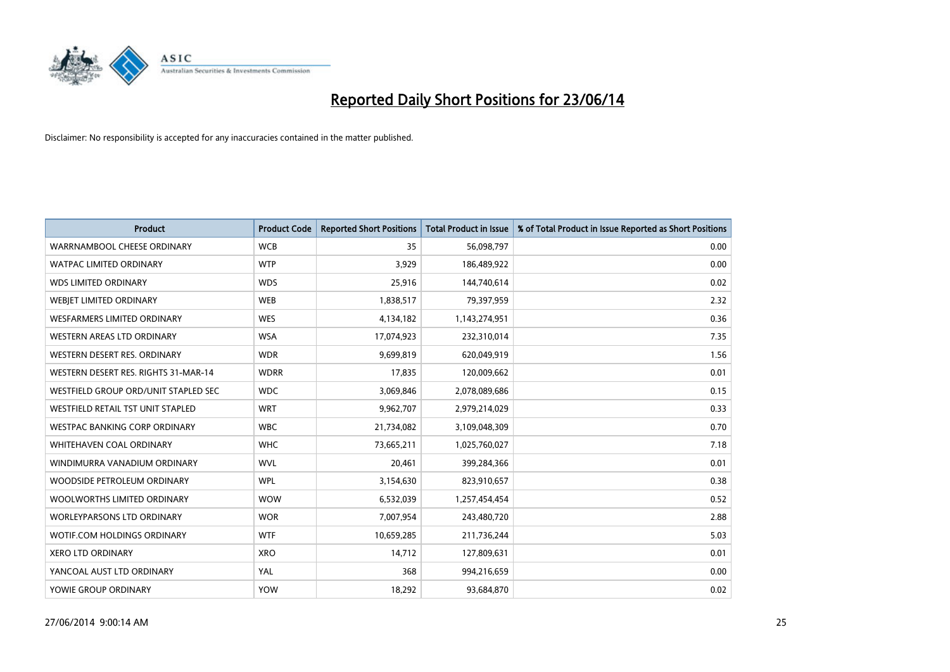

| <b>Product</b>                       | <b>Product Code</b> | <b>Reported Short Positions</b> | <b>Total Product in Issue</b> | % of Total Product in Issue Reported as Short Positions |
|--------------------------------------|---------------------|---------------------------------|-------------------------------|---------------------------------------------------------|
| WARRNAMBOOL CHEESE ORDINARY          | <b>WCB</b>          | 35                              | 56,098,797                    | 0.00                                                    |
| <b>WATPAC LIMITED ORDINARY</b>       | <b>WTP</b>          | 3,929                           | 186,489,922                   | 0.00                                                    |
| <b>WDS LIMITED ORDINARY</b>          | <b>WDS</b>          | 25,916                          | 144,740,614                   | 0.02                                                    |
| WEBJET LIMITED ORDINARY              | <b>WEB</b>          | 1,838,517                       | 79,397,959                    | 2.32                                                    |
| <b>WESFARMERS LIMITED ORDINARY</b>   | <b>WES</b>          | 4,134,182                       | 1,143,274,951                 | 0.36                                                    |
| WESTERN AREAS LTD ORDINARY           | <b>WSA</b>          | 17,074,923                      | 232,310,014                   | 7.35                                                    |
| WESTERN DESERT RES. ORDINARY         | <b>WDR</b>          | 9,699,819                       | 620,049,919                   | 1.56                                                    |
| WESTERN DESERT RES. RIGHTS 31-MAR-14 | <b>WDRR</b>         | 17,835                          | 120,009,662                   | 0.01                                                    |
| WESTFIELD GROUP ORD/UNIT STAPLED SEC | <b>WDC</b>          | 3,069,846                       | 2,078,089,686                 | 0.15                                                    |
| WESTFIELD RETAIL TST UNIT STAPLED    | <b>WRT</b>          | 9,962,707                       | 2,979,214,029                 | 0.33                                                    |
| <b>WESTPAC BANKING CORP ORDINARY</b> | <b>WBC</b>          | 21,734,082                      | 3,109,048,309                 | 0.70                                                    |
| <b>WHITEHAVEN COAL ORDINARY</b>      | <b>WHC</b>          | 73,665,211                      | 1,025,760,027                 | 7.18                                                    |
| WINDIMURRA VANADIUM ORDINARY         | <b>WVL</b>          | 20,461                          | 399,284,366                   | 0.01                                                    |
| WOODSIDE PETROLEUM ORDINARY          | <b>WPL</b>          | 3,154,630                       | 823,910,657                   | 0.38                                                    |
| WOOLWORTHS LIMITED ORDINARY          | <b>WOW</b>          | 6,532,039                       | 1,257,454,454                 | 0.52                                                    |
| <b>WORLEYPARSONS LTD ORDINARY</b>    | <b>WOR</b>          | 7,007,954                       | 243,480,720                   | 2.88                                                    |
| WOTIF.COM HOLDINGS ORDINARY          | <b>WTF</b>          | 10,659,285                      | 211,736,244                   | 5.03                                                    |
| <b>XERO LTD ORDINARY</b>             | <b>XRO</b>          | 14,712                          | 127,809,631                   | 0.01                                                    |
| YANCOAL AUST LTD ORDINARY            | YAL                 | 368                             | 994,216,659                   | 0.00                                                    |
| YOWIE GROUP ORDINARY                 | <b>YOW</b>          | 18,292                          | 93,684,870                    | 0.02                                                    |